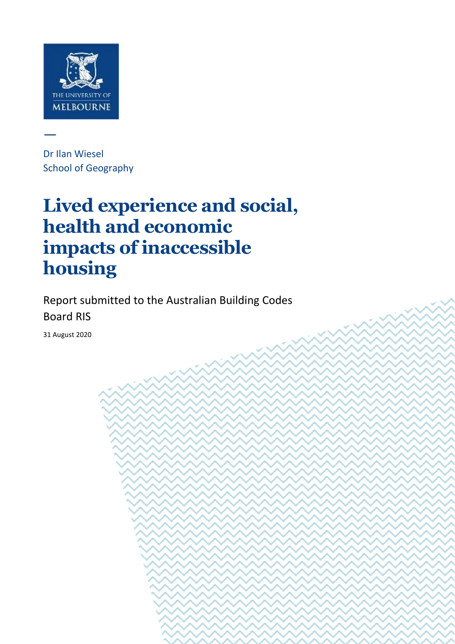

—

Dr Ilan Wiesel School of Geography

# **Lived experience and social, health and economic impacts of inaccessible housing**

Report submitted to the Australian Building Codes Board RIS

**Dr Ilan Wiesel** | Lived experience and social, health and economic impacts of inaccessible

housing Page 1 of 44 of 44 of 44 of 44 of 44 of 44 of 44 of 44 of 44 of 44 of 44 of 44 of 44 of 44 of 44 of 44

31 August 2020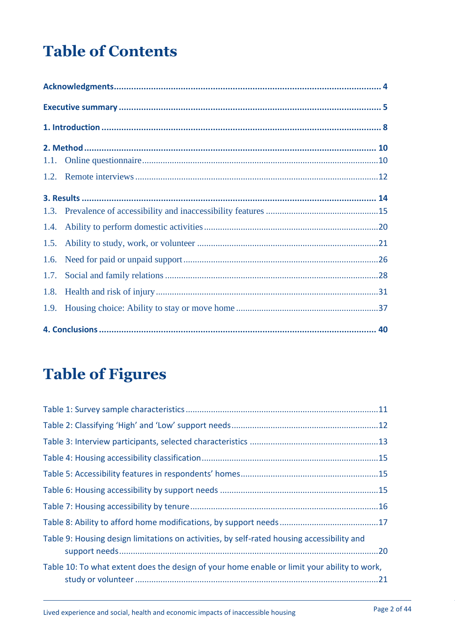# **Table of Contents**

| 1.4. |  |  |  |  |  |
|------|--|--|--|--|--|
|      |  |  |  |  |  |
| 1.6. |  |  |  |  |  |
| 1.7. |  |  |  |  |  |
|      |  |  |  |  |  |
|      |  |  |  |  |  |
|      |  |  |  |  |  |

# **Table of Figures**

| Table 9: Housing design limitations on activities, by self-rated housing accessibility and  |  |
|---------------------------------------------------------------------------------------------|--|
| Table 10: To what extent does the design of your home enable or limit your ability to work, |  |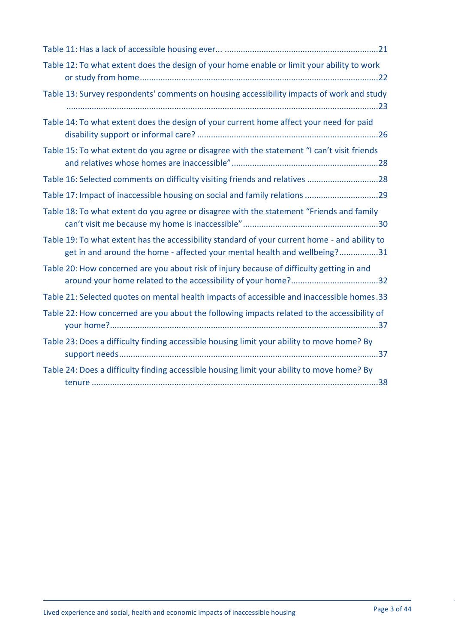| Table 12: To what extent does the design of your home enable or limit your ability to work                                                                                 |
|----------------------------------------------------------------------------------------------------------------------------------------------------------------------------|
| Table 13: Survey respondents' comments on housing accessibility impacts of work and study                                                                                  |
| Table 14: To what extent does the design of your current home affect your need for paid                                                                                    |
| Table 15: To what extent do you agree or disagree with the statement "I can't visit friends                                                                                |
| Table 16: Selected comments on difficulty visiting friends and relatives 28                                                                                                |
|                                                                                                                                                                            |
| Table 18: To what extent do you agree or disagree with the statement "Friends and family                                                                                   |
| Table 19: To what extent has the accessibility standard of your current home - and ability to<br>get in and around the home - affected your mental health and wellbeing?31 |
| Table 20: How concerned are you about risk of injury because of difficulty getting in and                                                                                  |
| Table 21: Selected quotes on mental health impacts of accessible and inaccessible homes.33                                                                                 |
| Table 22: How concerned are you about the following impacts related to the accessibility of                                                                                |
| Table 23: Does a difficulty finding accessible housing limit your ability to move home? By                                                                                 |
| Table 24: Does a difficulty finding accessible housing limit your ability to move home? By                                                                                 |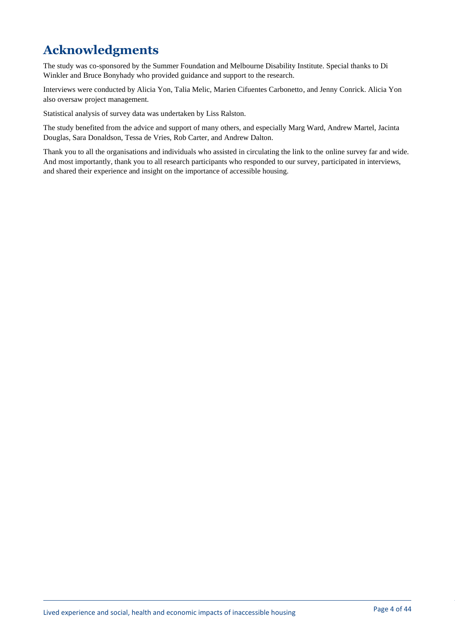# <span id="page-3-0"></span>**Acknowledgments**

The study was co-sponsored by the Summer Foundation and Melbourne Disability Institute. Special thanks to Di Winkler and Bruce Bonyhady who provided guidance and support to the research.

Interviews were conducted by Alicia Yon, Talia Melic, Marien Cifuentes Carbonetto, and Jenny Conrick. Alicia Yon also oversaw project management.

Statistical analysis of survey data was undertaken by Liss Ralston.

The study benefited from the advice and support of many others, and especially Marg Ward, Andrew Martel, Jacinta Douglas, Sara Donaldson, Tessa de Vries, Rob Carter, and Andrew Dalton.

Thank you to all the organisations and individuals who assisted in circulating the link to the online survey far and wide. And most importantly, thank you to all research participants who responded to our survey, participated in interviews, and shared their experience and insight on the importance of accessible housing.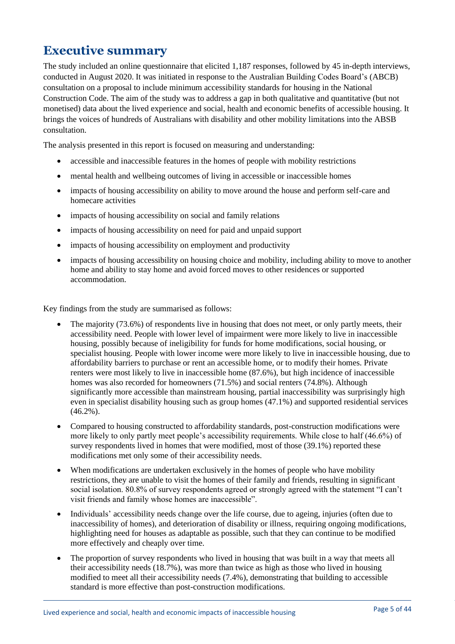# <span id="page-4-0"></span>**Executive summary**

The study included an online questionnaire that elicited 1,187 responses, followed by 45 in-depth interviews, conducted in August 2020. It was initiated in response to the Australian Building Codes Board's (ABCB) consultation on a proposal to include minimum accessibility standards for housing in the National Construction Code. The aim of the study was to address a gap in both qualitative and quantitative (but not monetised) data about the lived experience and social, health and economic benefits of accessible housing. It brings the voices of hundreds of Australians with disability and other mobility limitations into the ABSB consultation.

The analysis presented in this report is focused on measuring and understanding:

- accessible and inaccessible features in the homes of people with mobility restrictions
- mental health and wellbeing outcomes of living in accessible or inaccessible homes
- impacts of housing accessibility on ability to move around the house and perform self-care and homecare activities
- impacts of housing accessibility on social and family relations
- impacts of housing accessibility on need for paid and unpaid support
- impacts of housing accessibility on employment and productivity
- impacts of housing accessibility on housing choice and mobility, including ability to move to another home and ability to stay home and avoid forced moves to other residences or supported accommodation.

Key findings from the study are summarised as follows:

- The majority (73.6%) of respondents live in housing that does not meet, or only partly meets, their accessibility need. People with lower level of impairment were more likely to live in inaccessible housing, possibly because of ineligibility for funds for home modifications, social housing, or specialist housing. People with lower income were more likely to live in inaccessible housing, due to affordability barriers to purchase or rent an accessible home, or to modify their homes. Private renters were most likely to live in inaccessible home (87.6%), but high incidence of inaccessible homes was also recorded for homeowners (71.5%) and social renters (74.8%). Although significantly more accessible than mainstream housing, partial inaccessibility was surprisingly high even in specialist disability housing such as group homes (47.1%) and supported residential services  $(46.2\%)$ .
- Compared to housing constructed to affordability standards, post-construction modifications were more likely to only partly meet people's accessibility requirements. While close to half (46.6%) of survey respondents lived in homes that were modified, most of those (39.1%) reported these modifications met only some of their accessibility needs.
- When modifications are undertaken exclusively in the homes of people who have mobility restrictions, they are unable to visit the homes of their family and friends, resulting in significant social isolation. 80.8% of survey respondents agreed or strongly agreed with the statement "I can't visit friends and family whose homes are inaccessible".
- Individuals' accessibility needs change over the life course, due to ageing, injuries (often due to inaccessibility of homes), and deterioration of disability or illness, requiring ongoing modifications, highlighting need for houses as adaptable as possible, such that they can continue to be modified more effectively and cheaply over time.
- The proportion of survey respondents who lived in housing that was built in a way that meets all their accessibility needs (18.7%), was more than twice as high as those who lived in housing modified to meet all their accessibility needs (7.4%), demonstrating that building to accessible standard is more effective than post-construction modifications.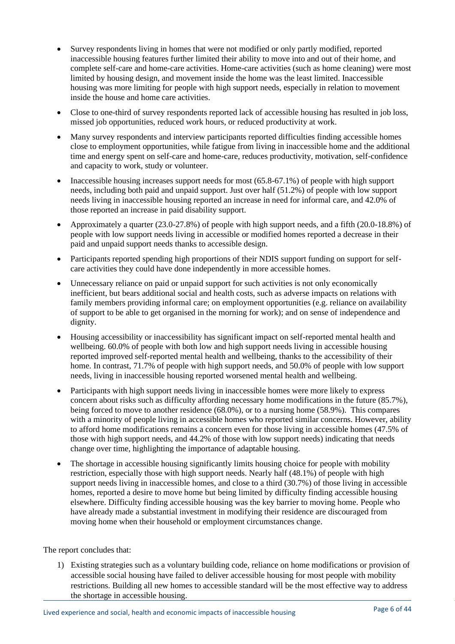- Survey respondents living in homes that were not modified or only partly modified, reported inaccessible housing features further limited their ability to move into and out of their home, and complete self-care and home-care activities. Home-care activities (such as home cleaning) were most limited by housing design, and movement inside the home was the least limited. Inaccessible housing was more limiting for people with high support needs, especially in relation to movement inside the house and home care activities.
- Close to one-third of survey respondents reported lack of accessible housing has resulted in job loss, missed job opportunities, reduced work hours, or reduced productivity at work.
- Many survey respondents and interview participants reported difficulties finding accessible homes close to employment opportunities, while fatigue from living in inaccessible home and the additional time and energy spent on self-care and home-care, reduces productivity, motivation, self-confidence and capacity to work, study or volunteer.
- Inaccessible housing increases support needs for most (65.8-67.1%) of people with high support needs, including both paid and unpaid support. Just over half (51.2%) of people with low support needs living in inaccessible housing reported an increase in need for informal care, and 42.0% of those reported an increase in paid disability support.
- Approximately a quarter (23.0-27.8%) of people with high support needs, and a fifth (20.0-18.8%) of people with low support needs living in accessible or modified homes reported a decrease in their paid and unpaid support needs thanks to accessible design.
- Participants reported spending high proportions of their NDIS support funding on support for selfcare activities they could have done independently in more accessible homes.
- Unnecessary reliance on paid or unpaid support for such activities is not only economically inefficient, but bears additional social and health costs, such as adverse impacts on relations with family members providing informal care; on employment opportunities (e.g. reliance on availability of support to be able to get organised in the morning for work); and on sense of independence and dignity.
- Housing accessibility or inaccessibility has significant impact on self-reported mental health and wellbeing. 60.0% of people with both low and high support needs living in accessible housing reported improved self-reported mental health and wellbeing, thanks to the accessibility of their home. In contrast, 71.7% of people with high support needs, and 50.0% of people with low support needs, living in inaccessible housing reported worsened mental health and wellbeing.
- Participants with high support needs living in inaccessible homes were more likely to express concern about risks such as difficulty affording necessary home modifications in the future (85.7%), being forced to move to another residence (68.0%), or to a nursing home (58.9%). This compares with a minority of people living in accessible homes who reported similar concerns. However, ability to afford home modifications remains a concern even for those living in accessible homes (47.5% of those with high support needs, and 44.2% of those with low support needs) indicating that needs change over time, highlighting the importance of adaptable housing.
- The shortage in accessible housing significantly limits housing choice for people with mobility restriction, especially those with high support needs. Nearly half (48.1%) of people with high support needs living in inaccessible homes, and close to a third (30.7%) of those living in accessible homes, reported a desire to move home but being limited by difficulty finding accessible housing elsewhere. Difficulty finding accessible housing was the key barrier to moving home. People who have already made a substantial investment in modifying their residence are discouraged from moving home when their household or employment circumstances change.

The report concludes that:

1) Existing strategies such as a voluntary building code, reliance on home modifications or provision of accessible social housing have failed to deliver accessible housing for most people with mobility restrictions. Building all new homes to accessible standard will be the most effective way to address the shortage in accessible housing.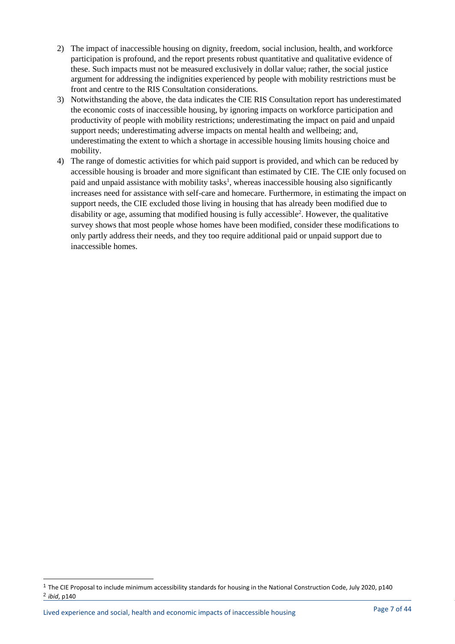- 2) The impact of inaccessible housing on dignity, freedom, social inclusion, health, and workforce participation is profound, and the report presents robust quantitative and qualitative evidence of these. Such impacts must not be measured exclusively in dollar value; rather, the social justice argument for addressing the indignities experienced by people with mobility restrictions must be front and centre to the RIS Consultation considerations.
- 3) Notwithstanding the above, the data indicates the CIE RIS Consultation report has underestimated the economic costs of inaccessible housing, by ignoring impacts on workforce participation and productivity of people with mobility restrictions; underestimating the impact on paid and unpaid support needs; underestimating adverse impacts on mental health and wellbeing; and, underestimating the extent to which a shortage in accessible housing limits housing choice and mobility.
- 4) The range of domestic activities for which paid support is provided, and which can be reduced by accessible housing is broader and more significant than estimated by CIE. The CIE only focused on paid and unpaid assistance with mobility tasks<sup>1</sup>, whereas inaccessible housing also significantly increases need for assistance with self-care and homecare. Furthermore, in estimating the impact on support needs, the CIE excluded those living in housing that has already been modified due to disability or age, assuming that modified housing is fully accessible<sup>2</sup>. However, the qualitative survey shows that most people whose homes have been modified, consider these modifications to only partly address their needs, and they too require additional paid or unpaid support due to inaccessible homes.

<sup>1</sup> The CIE Proposal to include minimum accessibility standards for housing in the National Construction Code, July 2020, p140 2 *ibid*, p140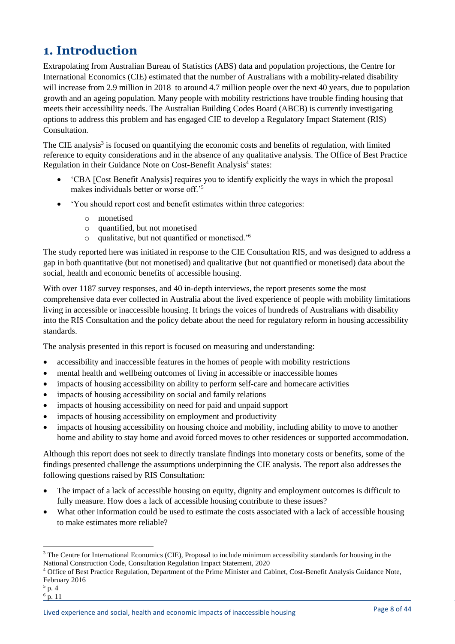# <span id="page-7-0"></span>**1. Introduction**

Extrapolating from Australian Bureau of Statistics (ABS) data and population projections, the Centre for International Economics (CIE) estimated that the number of Australians with a mobility-related disability will increase from 2.9 million in 2018 to around 4.7 million people over the next 40 years, due to population growth and an ageing population. Many people with mobility restrictions have trouble finding housing that meets their accessibility needs. The Australian Building Codes Board (ABCB) is currently investigating options to address this problem and has engaged CIE to develop a Regulatory Impact Statement (RIS) Consultation.

The CIE analysis<sup>3</sup> is focused on quantifying the economic costs and benefits of regulation, with limited reference to equity considerations and in the absence of any qualitative analysis. The Office of Best Practice Regulation in their Guidance Note on Cost-Benefit Analysis<sup>4</sup> states:

- 'CBA [Cost Benefit Analysis] requires you to identify explicitly the ways in which the proposal makes individuals better or worse off.'<sup>5</sup>
- 'You should report cost and benefit estimates within three categories:
	- o monetised
	- $\circ$  quantified, but not monetised
	- o qualitative, but not quantified or monetised.'<sup>6</sup>

The study reported here was initiated in response to the CIE Consultation RIS, and was designed to address a gap in both quantitative (but not monetised) and qualitative (but not quantified or monetised) data about the social, health and economic benefits of accessible housing.

With over 1187 survey responses, and 40 in-depth interviews, the report presents some the most comprehensive data ever collected in Australia about the lived experience of people with mobility limitations living in accessible or inaccessible housing. It brings the voices of hundreds of Australians with disability into the RIS Consultation and the policy debate about the need for regulatory reform in housing accessibility standards.

The analysis presented in this report is focused on measuring and understanding:

- accessibility and inaccessible features in the homes of people with mobility restrictions
- mental health and wellbeing outcomes of living in accessible or inaccessible homes
- impacts of housing accessibility on ability to perform self-care and homecare activities
- impacts of housing accessibility on social and family relations
- impacts of housing accessibility on need for paid and unpaid support
- impacts of housing accessibility on employment and productivity
- impacts of housing accessibility on housing choice and mobility, including ability to move to another home and ability to stay home and avoid forced moves to other residences or supported accommodation.

Although this report does not seek to directly translate findings into monetary costs or benefits, some of the findings presented challenge the assumptions underpinning the CIE analysis. The report also addresses the following questions raised by RIS Consultation:

- The impact of a lack of accessible housing on equity, dignity and employment outcomes is difficult to fully measure. How does a lack of accessible housing contribute to these issues?
- What other information could be used to estimate the costs associated with a lack of accessible housing to make estimates more reliable?

<sup>&</sup>lt;sup>3</sup> The Centre for International Economics (CIE), Proposal to include minimum accessibility standards for housing in the National Construction Code, Consultation Regulation Impact Statement, 2020

<sup>4</sup> Office of Best Practice Regulation, Department of the Prime Minister and Cabinet, Cost-Benefit Analysis Guidance Note, February 2016

<sup>5</sup> p. 4

 $^6$  p. 11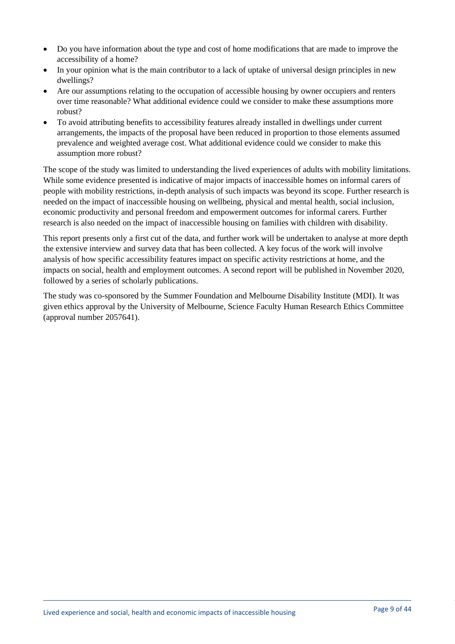- Do you have information about the type and cost of home modifications that are made to improve the accessibility of a home?
- In your opinion what is the main contributor to a lack of uptake of universal design principles in new dwellings?
- Are our assumptions relating to the occupation of accessible housing by owner occupiers and renters over time reasonable? What additional evidence could we consider to make these assumptions more robust?
- To avoid attributing benefits to accessibility features already installed in dwellings under current arrangements, the impacts of the proposal have been reduced in proportion to those elements assumed prevalence and weighted average cost. What additional evidence could we consider to make this assumption more robust?

The scope of the study was limited to understanding the lived experiences of adults with mobility limitations. While some evidence presented is indicative of major impacts of inaccessible homes on informal carers of people with mobility restrictions, in-depth analysis of such impacts was beyond its scope. Further research is needed on the impact of inaccessible housing on wellbeing, physical and mental health, social inclusion, economic productivity and personal freedom and empowerment outcomes for informal carers. Further research is also needed on the impact of inaccessible housing on families with children with disability.

This report presents only a first cut of the data, and further work will be undertaken to analyse at more depth the extensive interview and survey data that has been collected. A key focus of the work will involve analysis of how specific accessibility features impact on specific activity restrictions at home, and the impacts on social, health and employment outcomes. A second report will be published in November 2020, followed by a series of scholarly publications.

The study was co-sponsored by the Summer Foundation and Melbourne Disability Institute (MDI). It was given ethics approval by the University of Melbourne, Science Faculty Human Research Ethics Committee (approval number 2057641).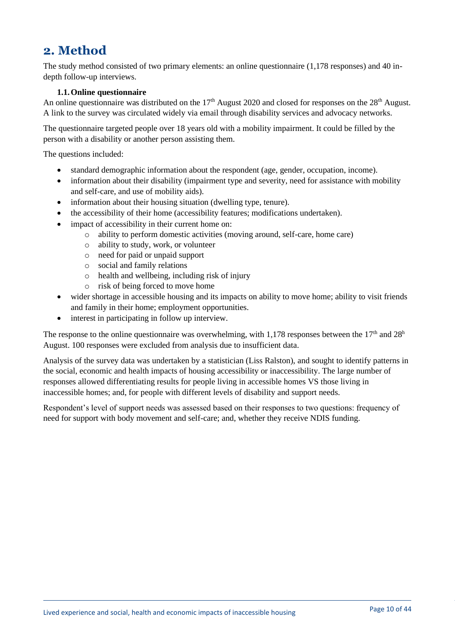# <span id="page-9-0"></span>**2. Method**

The study method consisted of two primary elements: an online questionnaire (1,178 responses) and 40 indepth follow-up interviews.

# **1.1.Online questionnaire**

<span id="page-9-1"></span>An online questionnaire was distributed on the  $17<sup>th</sup>$  August 2020 and closed for responses on the  $28<sup>th</sup>$  August. A link to the survey was circulated widely via email through disability services and advocacy networks.

The questionnaire targeted people over 18 years old with a mobility impairment. It could be filled by the person with a disability or another person assisting them.

The questions included:

- standard demographic information about the respondent (age, gender, occupation, income).
- information about their disability (impairment type and severity, need for assistance with mobility and self-care, and use of mobility aids).
- information about their housing situation (dwelling type, tenure).
- the accessibility of their home (accessibility features; modifications undertaken).
- impact of accessibility in their current home on:
	- o ability to perform domestic activities (moving around, self-care, home care)
	- o ability to study, work, or volunteer
	- o need for paid or unpaid support
	- o social and family relations
	- o health and wellbeing, including risk of injury
	- o risk of being forced to move home
- wider shortage in accessible housing and its impacts on ability to move home; ability to visit friends and family in their home; employment opportunities.
- interest in participating in follow up interview.

The response to the online questionnaire was overwhelming, with 1,178 responses between the 17<sup>th</sup> and 28<sup>h</sup> August. 100 responses were excluded from analysis due to insufficient data.

Analysis of the survey data was undertaken by a statistician (Liss Ralston), and sought to identify patterns in the social, economic and health impacts of housing accessibility or inaccessibility. The large number of responses allowed differentiating results for people living in accessible homes VS those living in inaccessible homes; and, for people with different levels of disability and support needs.

Respondent's level of support needs was assessed based on their responses to two questions: frequency of need for support with body movement and self-care; and, whether they receive NDIS funding.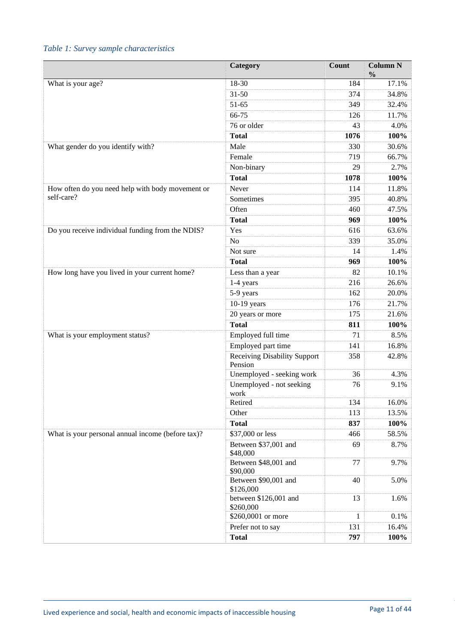# <span id="page-10-0"></span>*Table 1: Survey sample characteristics*

|                                                   | Category                           | Count        | <b>Column N</b><br>$\frac{0}{0}$ |
|---------------------------------------------------|------------------------------------|--------------|----------------------------------|
| What is your age?                                 | 18-30                              | 184          | 17.1%                            |
|                                                   | $31 - 50$                          | 374          | 34.8%                            |
|                                                   | $51-65$                            | 349          | 32.4%                            |
|                                                   | 66-75                              | 126          | 11.7%                            |
|                                                   | 76 or older                        | 43           | 4.0%                             |
|                                                   | <b>Total</b>                       | 1076         | 100%                             |
| What gender do you identify with?                 | Male                               | 330          | 30.6%                            |
|                                                   | Female                             | 719          | 66.7%                            |
|                                                   | Non-binary                         | 29           | 2.7%                             |
|                                                   | <b>Total</b>                       | 1078         | 100%                             |
| How often do you need help with body movement or  | Never                              | 114          | 11.8%                            |
| self-care?                                        | Sometimes                          | 395          | 40.8%                            |
|                                                   | Often                              | 460          | 47.5%                            |
|                                                   | <b>Total</b>                       | 969          | 100%                             |
| Do you receive individual funding from the NDIS?  | Yes                                | 616          | 63.6%                            |
|                                                   | $\rm No$                           | 339          | 35.0%                            |
|                                                   | Not sure                           | 14           | 1.4%                             |
|                                                   | <b>Total</b>                       | 969          | 100%                             |
| How long have you lived in your current home?     | Less than a year                   | 82           | 10.1%                            |
|                                                   | 1-4 years                          | 216          | 26.6%                            |
|                                                   | 5-9 years                          | 162          | 20.0%                            |
|                                                   | 10-19 years                        | 176          | 21.7%                            |
|                                                   | 20 years or more                   | 175          | 21.6%                            |
|                                                   | <b>Total</b>                       | 811          | 100%                             |
| What is your employment status?                   | Employed full time                 | 71           | 8.5%                             |
|                                                   | Employed part time                 | 141          | 16.8%                            |
|                                                   | Receiving Disability Support       | 358          | 42.8%                            |
|                                                   | Pension                            |              |                                  |
|                                                   | Unemployed - seeking work          | 36           | 4.3%                             |
|                                                   | Unemployed - not seeking           | 76           | 9.1%                             |
|                                                   | work                               |              |                                  |
|                                                   | Retired                            | 134          | 16.0%                            |
|                                                   | Other                              | 113          | 13.5%                            |
|                                                   | <b>Total</b>                       | 837          | 100%                             |
| What is your personal annual income (before tax)? | \$37,000 or less                   | 466          | 58.5%                            |
|                                                   | Between \$37,001 and<br>\$48,000   | 69           | 8.7%                             |
|                                                   | Between \$48,001 and<br>\$90,000   | 77           | 9.7%                             |
|                                                   | Between \$90,001 and<br>\$126,000  | 40           | 5.0%                             |
|                                                   | between \$126,001 and<br>\$260,000 | 13           | 1.6%                             |
|                                                   | \$260,0001 or more                 | $\mathbf{1}$ | 0.1%                             |
|                                                   | Prefer not to say                  | 131          | 16.4%                            |
|                                                   | <b>Total</b>                       | 797          | 100%                             |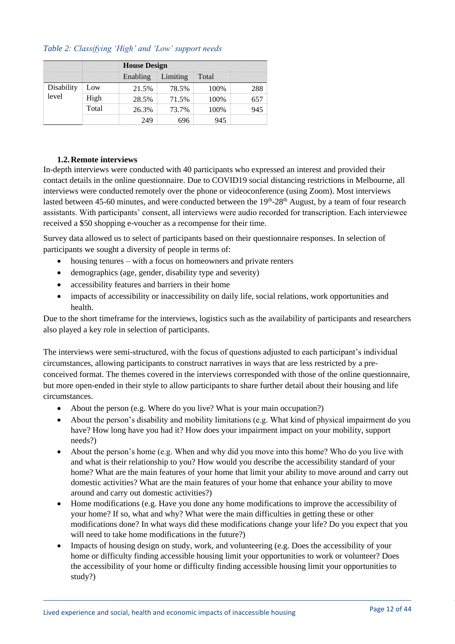# <span id="page-11-1"></span>*Table 2: Classifying 'High' and 'Low' support needs*

|            |       |          | <b>House Design</b> |       |  |  |  |  |  |
|------------|-------|----------|---------------------|-------|--|--|--|--|--|
|            |       | Enabling | Limiting            | Total |  |  |  |  |  |
| Disability | .ow   | 21.5%    | $8.5\%$             |       |  |  |  |  |  |
| level      |       |          | 71.5%               |       |  |  |  |  |  |
|            | Total | 76.3%    | 73 7%               |       |  |  |  |  |  |
|            |       |          |                     |       |  |  |  |  |  |

#### **1.2.Remote interviews**

<span id="page-11-0"></span>In-depth interviews were conducted with 40 participants who expressed an interest and provided their contact details in the online questionnaire. Due to COVID19 social distancing restrictions in Melbourne, all interviews were conducted remotely over the phone or videoconference (using Zoom). Most interviews lasted between 45-60 minutes, and were conducted between the 19<sup>th</sup>-28<sup>th</sup> August, by a team of four research assistants. With participants' consent, all interviews were audio recorded for transcription. Each interviewee received a \$50 shopping e-voucher as a recompense for their time.

Survey data allowed us to select of participants based on their questionnaire responses. In selection of participants we sought a diversity of people in terms of:

- housing tenures with a focus on homeowners and private renters
- demographics (age, gender, disability type and severity)
- accessibility features and barriers in their home
- impacts of accessibility or inaccessibility on daily life, social relations, work opportunities and health.

Due to the short timeframe for the interviews, logistics such as the availability of participants and researchers also played a key role in selection of participants.

The interviews were semi-structured, with the focus of questions adjusted to each participant's individual circumstances, allowing participants to construct narratives in ways that are less restricted by a preconceived format. The themes covered in the interviews corresponded with those of the online questionnaire, but more open-ended in their style to allow participants to share further detail about their housing and life circumstances.

- About the person (e.g. Where do you live? What is your main occupation?)
- About the person's disability and mobility limitations (e.g. What kind of physical impairment do you have? How long have you had it? How does your impairment impact on your mobility, support needs?)
- About the person's home (e.g. When and why did you move into this home? Who do you live with and what is their relationship to you? How would you describe the accessibility standard of your home? What are the main features of your home that limit your ability to move around and carry out domestic activities? What are the main features of your home that enhance your ability to move around and carry out domestic activities?)
- Home modifications (e.g. Have you done any home modifications to improve the accessibility of your home? If so, what and why? What were the main difficulties in getting these or other modifications done? In what ways did these modifications change your life? Do you expect that you will need to take home modifications in the future?)
- Impacts of housing design on study, work, and volunteering (e.g. Does the accessibility of your home or difficulty finding accessible housing limit your opportunities to work or volunteer? Does the accessibility of your home or difficulty finding accessible housing limit your opportunities to study?)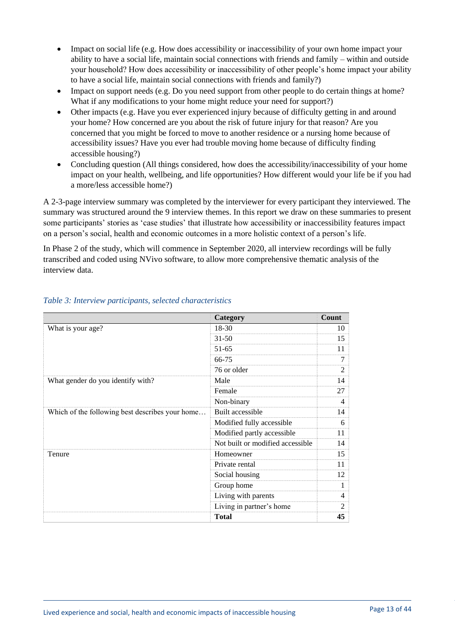- Impact on social life (e.g. How does accessibility or inaccessibility of your own home impact your ability to have a social life, maintain social connections with friends and family – within and outside your household? How does accessibility or inaccessibility of other people's home impact your ability to have a social life, maintain social connections with friends and family?)
- Impact on support needs (e.g. Do you need support from other people to do certain things at home? What if any modifications to your home might reduce your need for support?)
- Other impacts (e.g. Have you ever experienced injury because of difficulty getting in and around your home? How concerned are you about the risk of future injury for that reason? Are you concerned that you might be forced to move to another residence or a nursing home because of accessibility issues? Have you ever had trouble moving home because of difficulty finding accessible housing?)
- Concluding question (All things considered, how does the accessibility/inaccessibility of your home impact on your health, wellbeing, and life opportunities? How different would your life be if you had a more/less accessible home?)

A 2-3-page interview summary was completed by the interviewer for every participant they interviewed. The summary was structured around the 9 interview themes. In this report we draw on these summaries to present some participants' stories as 'case studies' that illustrate how accessibility or inaccessibility features impact on a person's social, health and economic outcomes in a more holistic context of a person's life.

In Phase 2 of the study, which will commence in September 2020, all interview recordings will be fully transcribed and coded using NVivo software, to allow more comprehensive thematic analysis of the interview data.

|                                                 | Category                         | Count          |
|-------------------------------------------------|----------------------------------|----------------|
| What is your age?                               | $18 - 30$                        | 10             |
|                                                 | $31 - 50$                        | 15             |
|                                                 | $51 - 65$                        | 11             |
|                                                 | 66-75                            | $\overline{7}$ |
|                                                 | 76 or older                      | $\mathfrak{D}$ |
| What gender do you identify with?               | Male                             | 14             |
|                                                 | Female                           | 27             |
|                                                 | Non-binary                       | 4              |
| Which of the following best describes your home | Built accessible                 | 14             |
|                                                 | Modified fully accessible        | 6              |
|                                                 | Modified partly accessible       | 11             |
|                                                 | Not built or modified accessible | 14             |
| Tenure                                          | Homeowner                        | 15             |
|                                                 | Private rental                   | 11             |
|                                                 | Social housing                   | 12             |
|                                                 | Group home                       | 1              |
|                                                 | Living with parents              | 4              |
|                                                 | Living in partner's home         | $\mathfrak{D}$ |
|                                                 | <b>Total</b>                     | 45             |

# <span id="page-12-0"></span>*Table 3: Interview participants, selected characteristics*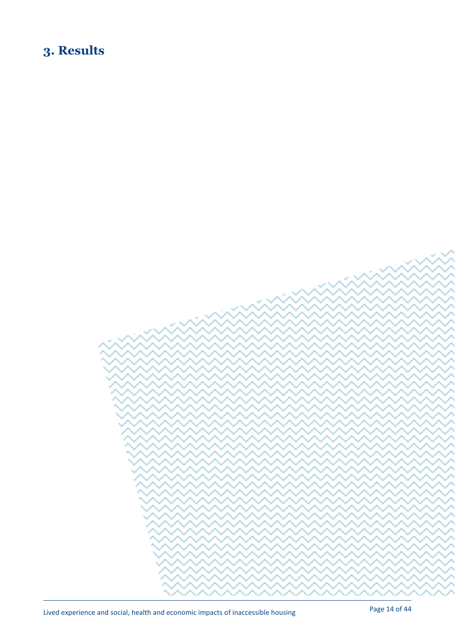# <span id="page-13-0"></span>**3. Results**

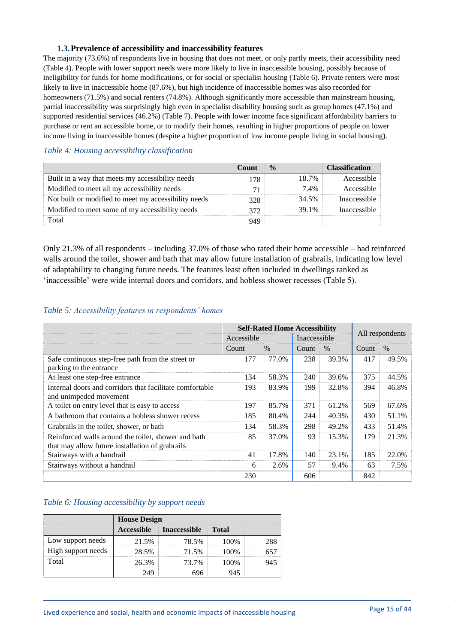#### **1.3.Prevalence of accessibility and inaccessibility features**

<span id="page-14-0"></span>The majority (73.6%) of respondents live in housing that does not meet, or only partly meets, their accessibility need (Table 4). People with lower support needs were more likely to live in inaccessible housing, possibly because of ineligibility for funds for home modifications, or for social or specialist housing (Table 6). Private renters were most likely to live in inaccessible home (87.6%), but high incidence of inaccessible homes was also recorded for homeowners (71.5%) and social renters (74.8%). Although significantly more accessible than mainstream housing, partial inaccessibility was surprisingly high even in specialist disability housing such as group homes (47.1%) and supported residential services (46.2%) (Table 7). People with lower income face significant affordability barriers to purchase or rent an accessible home, or to modify their homes, resulting in higher proportions of people on lower income living in inaccessible homes (despite a higher proportion of low income people living in social housing).

# **Count % Classification** Built in a way that meets my accessibility needs 178 18.7% Accessible<br>Modified to meet all my accessibility needs 71 7.4% Accessible Modified to meet all my accessibility needs  $71$   $71$   $7.4\%$ Not built or modified to meet my accessibility needs 328 34.5% Inaccessible Modified to meet some of my accessibility needs 372 39.1% Inaccessible Total 949

#### <span id="page-14-1"></span>*Table 4: Housing accessibility classification*

Only 21.3% of all respondents – including 37.0% of those who rated their home accessible – had reinforced walls around the toilet, shower and bath that may allow future installation of grabrails, indicating low level of adaptability to changing future needs. The features least often included in dwellings ranked as 'inaccessible' were wide internal doors and corridors, and hobless shower recesses (Table 5).

#### <span id="page-14-2"></span>*Table 5: Accessibility features in respondents' homes*

|                                                                                                        |              | <b>Self-Rated Home Accessibility</b> |              | All respondents |       |       |
|--------------------------------------------------------------------------------------------------------|--------------|--------------------------------------|--------------|-----------------|-------|-------|
|                                                                                                        | Accessible   |                                      | Inaccessible |                 |       |       |
|                                                                                                        | <b>Count</b> | $\%$                                 | Count        | $\%$            | Count | $\%$  |
| Safe continuous step-free path from the street or<br>parking to the entrance                           | 177          | 77.0%                                | 238          | 39.3%           | 417   | 49.5% |
| At least one step-free entrance                                                                        | 134          | 58.3%                                | 240          | 39.6%           | 375   | 44.5% |
| Internal doors and corridors that facilitate comfortable<br>and unimpeded movement                     | 193          | 83.9%                                | 199          | 32.8%           | 394   | 46.8% |
| A toilet on entry level that is easy to access                                                         | 197          | 85.7%                                | 371          | 61.2%           | 569   | 67.6% |
| A bathroom that contains a hobless shower recess                                                       | 185          | 80.4%                                | 244          | 40.3%           | 430   | 51.1% |
| Grabrails in the toilet, shower, or bath                                                               | 134          | 58.3%                                | 298          | 49.2%           | 433   | 51.4% |
| Reinforced walls around the toilet, shower and bath<br>that may allow future installation of grabrails | 85           | 37.0%                                | 93           | 15.3%           | 179   | 21.3% |
| Stairways with a handrail                                                                              | 41           | 17.8%                                | 140          | 23.1%           | 185   | 22.0% |
| Stairways without a handrail                                                                           | 6            | 2.6%                                 | 57           | 9.4%            | 63    | 7.5%  |
|                                                                                                        | 230          |                                      | 606          |                 | 842   |       |

#### <span id="page-14-3"></span>*Table 6: Housing accessibility by support needs*

|                    |                   | <b>House Design</b> |       |  |  |  |  |  |
|--------------------|-------------------|---------------------|-------|--|--|--|--|--|
|                    | <b>Accessible</b> | <b>Inaccessible</b> | Total |  |  |  |  |  |
| Low support needs  | 21.5%             | 78.5%               |       |  |  |  |  |  |
| High support needs | 28.5%             | $11.5\%$            |       |  |  |  |  |  |
|                    | ነና 3%             | 73 7%               |       |  |  |  |  |  |
|                    |                   |                     |       |  |  |  |  |  |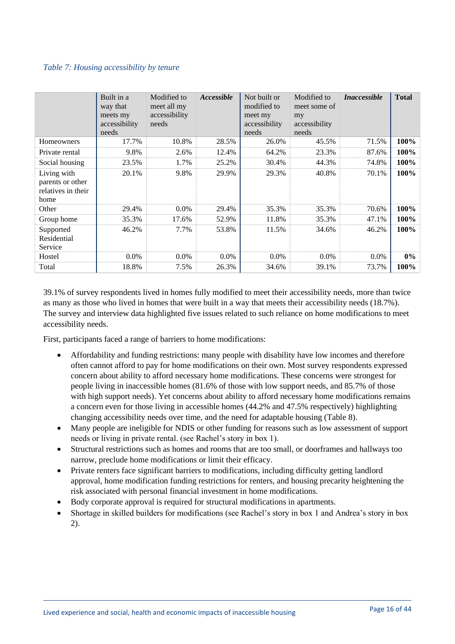#### <span id="page-15-0"></span>*Table 7: Housing accessibility by tenure*

|                                                               | Built in a<br>way that<br>meets my<br>accessibility<br>needs | Modified to<br>meet all my<br>accessibility<br>needs | Accessible | Not built or<br>modified to<br>meet my<br>accessibility<br>needs | Modified to<br>meet some of<br>my<br>accessibility<br>needs | <i>Inaccessible</i> | <b>Total</b> |
|---------------------------------------------------------------|--------------------------------------------------------------|------------------------------------------------------|------------|------------------------------------------------------------------|-------------------------------------------------------------|---------------------|--------------|
| Homeowners                                                    | 17.7%                                                        | 10.8%                                                | 28.5%      | 26.0%                                                            | 45.5%                                                       | 71.5%               | 100%         |
| Private rental                                                | 9.8%                                                         | 2.6%                                                 | 12.4%      | 64.2%                                                            | 23.3%                                                       | 87.6%               | 100%         |
| Social housing                                                | 23.5%                                                        | 1.7%                                                 | 25.2%      | 30.4%                                                            | 44.3%                                                       | 74.8%               | 100%         |
| Living with<br>parents or other<br>relatives in their<br>home | 20.1%                                                        | 9.8%                                                 | 29.9%      | 29.3%                                                            | 40.8%                                                       | 70.1%               | 100%         |
| Other                                                         | 29.4%                                                        | $0.0\%$                                              | 29.4%      | 35.3%                                                            | 35.3%                                                       | 70.6%               | 100%         |
| Group home                                                    | 35.3%                                                        | 17.6%                                                | 52.9%      | 11.8%                                                            | 35.3%                                                       | 47.1%               | 100%         |
| Supported<br>Residential<br>Service                           | 46.2%                                                        | 7.7%                                                 | 53.8%      | 11.5%                                                            | 34.6%                                                       | 46.2%               | 100%         |
| Hostel                                                        | 0.0%                                                         | $0.0\%$                                              | $0.0\%$    | $0.0\%$                                                          | $0.0\%$                                                     | $0.0\%$             | $0\%$        |
| Total                                                         | 18.8%                                                        | 7.5%                                                 | 26.3%      | 34.6%                                                            | 39.1%                                                       | 73.7%               | 100%         |

39.1% of survey respondents lived in homes fully modified to meet their accessibility needs, more than twice as many as those who lived in homes that were built in a way that meets their accessibility needs (18.7%). The survey and interview data highlighted five issues related to such reliance on home modifications to meet accessibility needs.

First, participants faced a range of barriers to home modifications:

- Affordability and funding restrictions: many people with disability have low incomes and therefore often cannot afford to pay for home modifications on their own. Most survey respondents expressed concern about ability to afford necessary home modifications. These concerns were strongest for people living in inaccessible homes (81.6% of those with low support needs, and 85.7% of those with high support needs). Yet concerns about ability to afford necessary home modifications remains a concern even for those living in accessible homes (44.2% and 47.5% respectively) highlighting changing accessibility needs over time, and the need for adaptable housing (Table 8).
- Many people are ineligible for NDIS or other funding for reasons such as low assessment of support needs or living in private rental. (see Rachel's story in box 1).
- Structural restrictions such as homes and rooms that are too small, or doorframes and hallways too narrow, preclude home modifications or limit their efficacy.
- Private renters face significant barriers to modifications, including difficulty getting landlord approval, home modification funding restrictions for renters, and housing precarity heightening the risk associated with personal financial investment in home modifications.
- Body corporate approval is required for structural modifications in apartments.
- <span id="page-15-1"></span>• Shortage in skilled builders for modifications (see Rachel's story in box 1 and Andrea's story in box 2).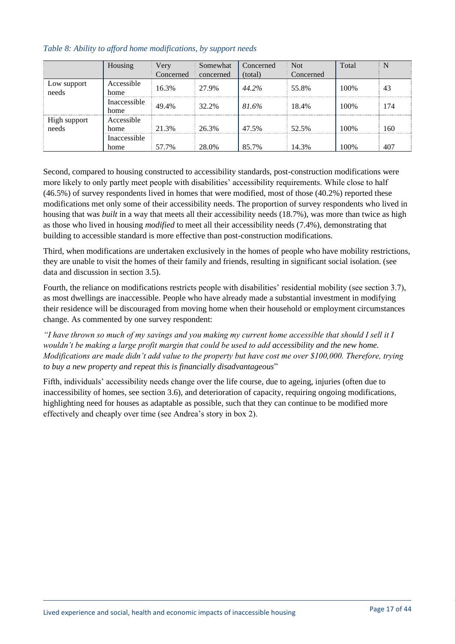|                       | Housing              | Very<br>Concerned | Somewhat<br>concerned | Concerned<br>(total) | <b>Not</b><br>Concerned | Total |     |
|-----------------------|----------------------|-------------------|-----------------------|----------------------|-------------------------|-------|-----|
| Low support<br>needs  | Accessible<br>home   | 16.3%             | 27.9%                 | 44.2%                | 55.8%                   | 100\% | 43  |
|                       | Inaccessible<br>home | 49.4%             | 32.2%                 | 81.6%                | 18.4%                   | 100\% | 174 |
| High support<br>needs | Accessible<br>home   | 21.3%             | 26.3%                 | 47.5%                | 52.5%                   | 100\% | 160 |
|                       | Inaccessible<br>home | 57.7%             | 28.0%                 | 85.7%                | 14.3%                   | 100\% | 407 |

# *Table 8: Ability to afford home modifications, by support needs*

Second, compared to housing constructed to accessibility standards, post-construction modifications were more likely to only partly meet people with disabilities' accessibility requirements. While close to half (46.5%) of survey respondents lived in homes that were modified, most of those (40.2%) reported these modifications met only some of their accessibility needs. The proportion of survey respondents who lived in housing that was *built* in a way that meets all their accessibility needs (18.7%), was more than twice as high as those who lived in housing *modified* to meet all their accessibility needs (7.4%), demonstrating that building to accessible standard is more effective than post-construction modifications.

Third, when modifications are undertaken exclusively in the homes of people who have mobility restrictions, they are unable to visit the homes of their family and friends, resulting in significant social isolation. (see data and discussion in section 3.5).

Fourth, the reliance on modifications restricts people with disabilities' residential mobility (see section 3.7), as most dwellings are inaccessible. People who have already made a substantial investment in modifying their residence will be discouraged from moving home when their household or employment circumstances change. As commented by one survey respondent:

*"I have thrown so much of my savings and you making my current home accessible that should I sell it I wouldn't be making a large profit margin that could be used to add accessibility and the new home. Modifications are made didn't add value to the property but have cost me over \$100,000. Therefore, trying to buy a new property and repeat this is financially disadvantageous*"

Fifth, individuals' accessibility needs change over the life course, due to ageing, injuries (often due to inaccessibility of homes, see section 3.6), and deterioration of capacity, requiring ongoing modifications, highlighting need for houses as adaptable as possible, such that they can continue to be modified more effectively and cheaply over time (see Andrea's story in box 2).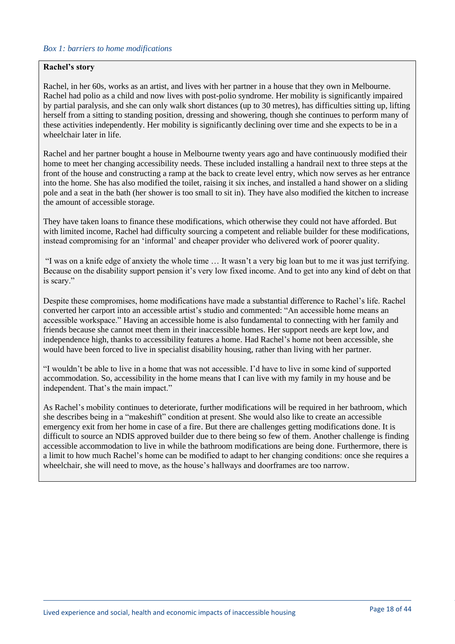#### *Box 1: barriers to home modifications*

#### **Rachel's story**

Rachel, in her 60s, works as an artist, and lives with her partner in a house that they own in Melbourne. Rachel had polio as a child and now lives with post-polio syndrome. Her mobility is significantly impaired by partial paralysis, and she can only walk short distances (up to 30 metres), has difficulties sitting up, lifting herself from a sitting to standing position, dressing and showering, though she continues to perform many of these activities independently. Her mobility is significantly declining over time and she expects to be in a wheelchair later in life.

Rachel and her partner bought a house in Melbourne twenty years ago and have continuously modified their home to meet her changing accessibility needs. These included installing a handrail next to three steps at the front of the house and constructing a ramp at the back to create level entry, which now serves as her entrance into the home. She has also modified the toilet, raising it six inches, and installed a hand shower on a sliding pole and a seat in the bath (her shower is too small to sit in). They have also modified the kitchen to increase the amount of accessible storage.

They have taken loans to finance these modifications, which otherwise they could not have afforded. But with limited income, Rachel had difficulty sourcing a competent and reliable builder for these modifications, instead compromising for an 'informal' and cheaper provider who delivered work of poorer quality.

"I was on a knife edge of anxiety the whole time … It wasn't a very big loan but to me it was just terrifying. Because on the disability support pension it's very low fixed income. And to get into any kind of debt on that is scary."

Despite these compromises, home modifications have made a substantial difference to Rachel's life. Rachel converted her carport into an accessible artist's studio and commented: "An accessible home means an accessible workspace." Having an accessible home is also fundamental to connecting with her family and friends because she cannot meet them in their inaccessible homes. Her support needs are kept low, and independence high, thanks to accessibility features a home. Had Rachel's home not been accessible, she would have been forced to live in specialist disability housing, rather than living with her partner.

"I wouldn't be able to live in a home that was not accessible. I'd have to live in some kind of supported accommodation. So, accessibility in the home means that I can live with my family in my house and be independent. That's the main impact."

As Rachel's mobility continues to deteriorate, further modifications will be required in her bathroom, which she describes being in a "makeshift" condition at present. She would also like to create an accessible emergency exit from her home in case of a fire. But there are challenges getting modifications done. It is difficult to source an NDIS approved builder due to there being so few of them. Another challenge is finding accessible accommodation to live in while the bathroom modifications are being done. Furthermore, there is a limit to how much Rachel's home can be modified to adapt to her changing conditions: once she requires a wheelchair, she will need to move, as the house's hallways and doorframes are too narrow.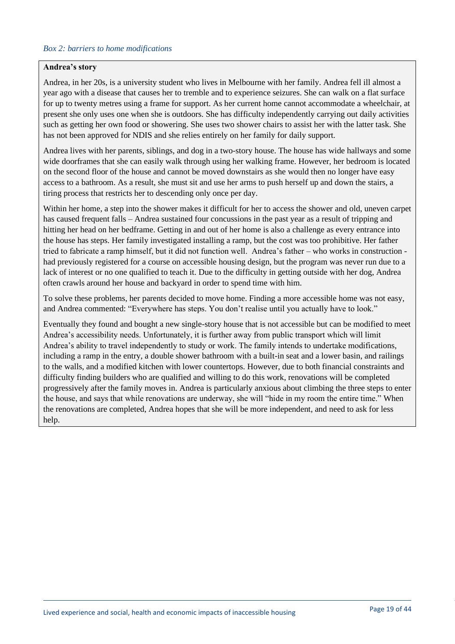#### *Box 2: barriers to home modifications*

#### **Andrea's story**

Andrea, in her 20s, is a university student who lives in Melbourne with her family. Andrea fell ill almost a year ago with a disease that causes her to tremble and to experience seizures. She can walk on a flat surface for up to twenty metres using a frame for support. As her current home cannot accommodate a wheelchair, at present she only uses one when she is outdoors. She has difficulty independently carrying out daily activities such as getting her own food or showering. She uses two shower chairs to assist her with the latter task. She has not been approved for NDIS and she relies entirely on her family for daily support.

Andrea lives with her parents, siblings, and dog in a two-story house. The house has wide hallways and some wide doorframes that she can easily walk through using her walking frame. However, her bedroom is located on the second floor of the house and cannot be moved downstairs as she would then no longer have easy access to a bathroom. As a result, she must sit and use her arms to push herself up and down the stairs, a tiring process that restricts her to descending only once per day.

Within her home, a step into the shower makes it difficult for her to access the shower and old, uneven carpet has caused frequent falls – Andrea sustained four concussions in the past year as a result of tripping and hitting her head on her bedframe. Getting in and out of her home is also a challenge as every entrance into the house has steps. Her family investigated installing a ramp, but the cost was too prohibitive. Her father tried to fabricate a ramp himself, but it did not function well. Andrea's father – who works in construction had previously registered for a course on accessible housing design, but the program was never run due to a lack of interest or no one qualified to teach it. Due to the difficulty in getting outside with her dog, Andrea often crawls around her house and backyard in order to spend time with him.

To solve these problems, her parents decided to move home. Finding a more accessible home was not easy, and Andrea commented: "Everywhere has steps. You don't realise until you actually have to look."

Eventually they found and bought a new single-story house that is not accessible but can be modified to meet Andrea's accessibility needs. Unfortunately, it is further away from public transport which will limit Andrea's ability to travel independently to study or work. The family intends to undertake modifications, including a ramp in the entry, a double shower bathroom with a built-in seat and a lower basin, and railings to the walls, and a modified kitchen with lower countertops. However, due to both financial constraints and difficulty finding builders who are qualified and willing to do this work, renovations will be completed progressively after the family moves in. Andrea is particularly anxious about climbing the three steps to enter the house, and says that while renovations are underway, she will "hide in my room the entire time." When the renovations are completed, Andrea hopes that she will be more independent, and need to ask for less help.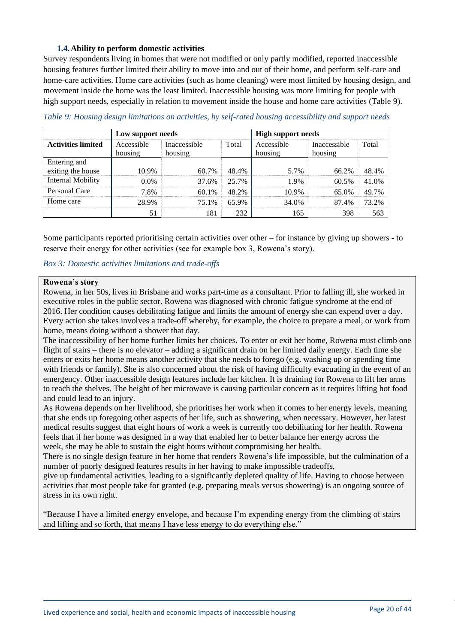#### **1.4.Ability to perform domestic activities**

<span id="page-19-0"></span>Survey respondents living in homes that were not modified or only partly modified, reported inaccessible housing features further limited their ability to move into and out of their home, and perform self-care and home-care activities. Home care activities (such as home cleaning) were most limited by housing design, and movement inside the home was the least limited. Inaccessible housing was more limiting for people with high support needs, especially in relation to movement inside the house and home care activities (Table 9).

|                                   | Low support needs     |                         | <b>High support needs</b>      |       |                         |       |
|-----------------------------------|-----------------------|-------------------------|--------------------------------|-------|-------------------------|-------|
| <b>Activities limited</b>         | Accessible<br>housing | Inaccessible<br>housing | Total<br>Accessible<br>housing |       | Inaccessible<br>housing | Total |
| Entering and<br>exiting the house | 10.9%                 | 60.7%                   | 48.4%                          | 5.7%  | 66.2%                   | 48.4% |
| <b>Internal Mobility</b>          | $0.0\%$               | 37.6%                   | 25.7%                          | 1.9%  | 60.5%                   | 41.0% |
| Personal Care                     | 7.8%                  | 60.1%                   | 48.2%                          | 10.9% | 65.0%                   | 49.7% |
| Home care                         | 28.9%                 | 75.1%                   | 65.9%                          | 34.0% | 87.4%                   | 73.2% |
|                                   | 51                    | 181                     | 232                            | 165   | 398                     | 563   |

<span id="page-19-1"></span>*Table 9: Housing design limitations on activities, by self-rated housing accessibility and support needs*

Some participants reported prioritising certain activities over other – for instance by giving up showers - to reserve their energy for other activities (see for example box 3, Rowena's story).

*Box 3: Domestic activities limitations and trade-offs*

# **Rowena's story**

Rowena, in her 50s, lives in Brisbane and works part-time as a consultant. Prior to falling ill, she worked in executive roles in the public sector. Rowena was diagnosed with chronic fatigue syndrome at the end of 2016. Her condition causes debilitating fatigue and limits the amount of energy she can expend over a day. Every action she takes involves a trade-off whereby, for example, the choice to prepare a meal, or work from home, means doing without a shower that day.

The inaccessibility of her home further limits her choices. To enter or exit her home, Rowena must climb one flight of stairs – there is no elevator – adding a significant drain on her limited daily energy. Each time she enters or exits her home means another activity that she needs to forego (e.g. washing up or spending time with friends or family). She is also concerned about the risk of having difficulty evacuating in the event of an emergency. Other inaccessible design features include her kitchen. It is draining for Rowena to lift her arms to reach the shelves. The height of her microwave is causing particular concern as it requires lifting hot food and could lead to an injury.

As Rowena depends on her livelihood, she prioritises her work when it comes to her energy levels, meaning that she ends up foregoing other aspects of her life, such as showering, when necessary. However, her latest medical results suggest that eight hours of work a week is currently too debilitating for her health. Rowena feels that if her home was designed in a way that enabled her to better balance her energy across the week, she may be able to sustain the eight hours without compromising her health.

There is no single design feature in her home that renders Rowena's life impossible, but the culmination of a number of poorly designed features results in her having to make impossible tradeoffs,

give up fundamental activities, leading to a significantly depleted quality of life. Having to choose between activities that most people take for granted (e.g. preparing meals versus showering) is an ongoing source of stress in its own right.

"Because I have a limited energy envelope, and because I'm expending energy from the climbing of stairs and lifting and so forth, that means I have less energy to do everything else."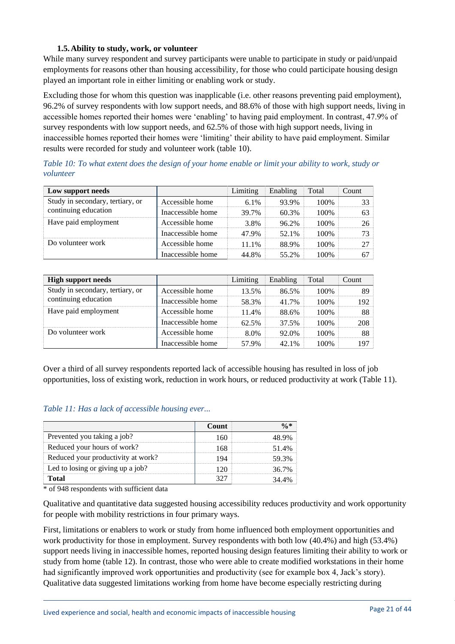### **1.5.Ability to study, work, or volunteer**

<span id="page-20-0"></span>While many survey respondent and survey participants were unable to participate in study or paid/unpaid employments for reasons other than housing accessibility, for those who could participate housing design played an important role in either limiting or enabling work or study.

Excluding those for whom this question was inapplicable (i.e. other reasons preventing paid employment), 96.2% of survey respondents with low support needs, and 88.6% of those with high support needs, living in accessible homes reported their homes were 'enabling' to having paid employment. In contrast, 47.9% of survey respondents with low support needs, and 62.5% of those with high support needs, living in inaccessible homes reported their homes were 'limiting' their ability to have paid employment. Similar results were recorded for study and volunteer work (table 10).

| Low support needs                |                   | Limiting | Enabling | Total | Count |
|----------------------------------|-------------------|----------|----------|-------|-------|
| Study in secondary, tertiary, or | Accessible home   | $6.1\%$  | 93.9%    | 100%  |       |
| continuing education             | Inaccessible home | 39.7%    | 60.3%    | 100%  |       |
| Have paid employment             | Accessible home   | 3.8%     | 96.2%    | 100%  | 26.   |
|                                  | Inaccessible home | 47.9%    | 52.1%    | 100%  |       |
| Do volunteer work                | Accessible home   | 11.1%    | 88.9%    | 100%  |       |
|                                  | Inaccessible home | 44.8%    | 55.2%    | 100%  |       |

<span id="page-20-1"></span>*Table 10: To what extent does the design of your home enable or limit your ability to work, study or volunteer*

| <b>High support needs</b>        |                   | Limiting | Enabling | Total | Count |
|----------------------------------|-------------------|----------|----------|-------|-------|
| Study in secondary, tertiary, or | Accessible home   | $13.5\%$ | 86.5%    | 100%  |       |
| continuing education             | Inaccessible home | 58.3%    | 41.7%    | 100%  | 192   |
| Have paid employment             | Accessible home   | 11.4%    | 88.6%    | 100%  | 88.   |
|                                  | Inaccessible home | 62.5%    | 37.5%    | 100%  | 208   |
| Do volunteer work                | Accessible home   | 8.0%     | 92.0%    | 100%  | 88    |
|                                  | Inaccessible home | 57.9%    | 42.1%    | 100%  | 197   |

Over a third of all survey respondents reported lack of accessible housing has resulted in loss of job opportunities, loss of existing work, reduction in work hours, or reduced productivity at work (Table 11).

#### <span id="page-20-2"></span>*Table 11: Has a lack of accessible housing ever...*

| Prevented you taking a job?        |  |
|------------------------------------|--|
| Reduced your hours of work?        |  |
| Reduced your productivity at work? |  |
| Led to losing or giving up a job?  |  |
|                                    |  |

\* of 948 respondents with sufficient data

Qualitative and quantitative data suggested housing accessibility reduces productivity and work opportunity for people with mobility restrictions in four primary ways.

First, limitations or enablers to work or study from home influenced both employment opportunities and work productivity for those in employment. Survey respondents with both low (40.4%) and high (53.4%) support needs living in inaccessible homes, reported housing design features limiting their ability to work or study from home (table 12). In contrast, those who were able to create modified workstations in their home had significantly improved work opportunities and productivity (see for example box 4, Jack's story). Qualitative data suggested limitations working from home have become especially restricting during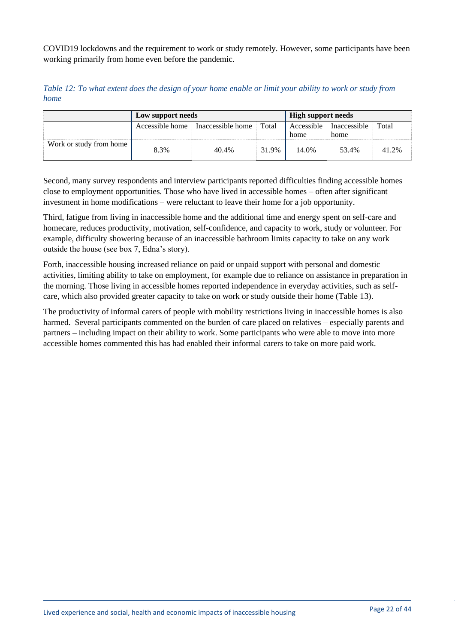COVID19 lockdowns and the requirement to work or study remotely. However, some participants have been working primarily from home even before the pandemic.

<span id="page-21-0"></span>*Table 12: To what extent does the design of your home enable or limit your ability to work or study from home*

|                         | Low support needs |                   |       | <b>High support needs</b> |                                 |       |
|-------------------------|-------------------|-------------------|-------|---------------------------|---------------------------------|-------|
|                         | Accessible home   | Inaccessible home | Total | home                      | Accessible Inaccessible<br>home | Total |
| Work or study from home | 8.3%              | 40.4%             | 31.9% | 14.0%                     | 53.4%                           | 41.2% |

Second, many survey respondents and interview participants reported difficulties finding accessible homes close to employment opportunities. Those who have lived in accessible homes – often after significant investment in home modifications – were reluctant to leave their home for a job opportunity.

Third, fatigue from living in inaccessible home and the additional time and energy spent on self-care and homecare, reduces productivity, motivation, self-confidence, and capacity to work, study or volunteer. For example, difficulty showering because of an inaccessible bathroom limits capacity to take on any work outside the house (see box 7, Edna's story).

Forth, inaccessible housing increased reliance on paid or unpaid support with personal and domestic activities, limiting ability to take on employment, for example due to reliance on assistance in preparation in the morning. Those living in accessible homes reported independence in everyday activities, such as selfcare, which also provided greater capacity to take on work or study outside their home (Table 13).

The productivity of informal carers of people with mobility restrictions living in inaccessible homes is also harmed. Several participants commented on the burden of care placed on relatives – especially parents and partners – including impact on their ability to work. Some participants who were able to move into more accessible homes commented this has had enabled their informal carers to take on more paid work.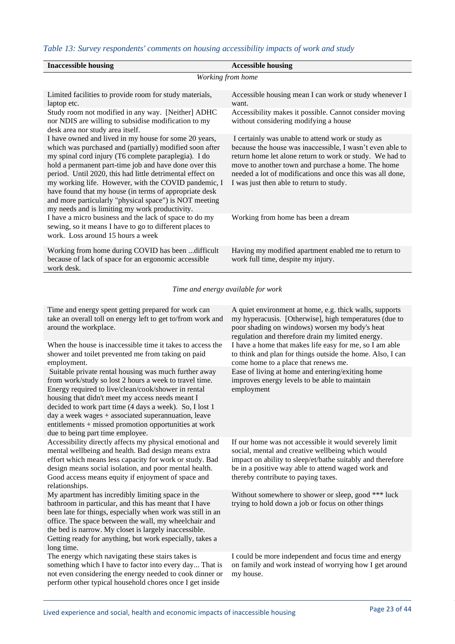# <span id="page-22-0"></span>*Table 13: Survey respondents' comments on housing accessibility impacts of work and study*

| <b>Inaccessible housing</b>                                                                                                                                                                                                                                                                                                                                                                                                                                                                                                   | <b>Accessible housing</b>                                                                                                                                                                                                                                                                                                                 |
|-------------------------------------------------------------------------------------------------------------------------------------------------------------------------------------------------------------------------------------------------------------------------------------------------------------------------------------------------------------------------------------------------------------------------------------------------------------------------------------------------------------------------------|-------------------------------------------------------------------------------------------------------------------------------------------------------------------------------------------------------------------------------------------------------------------------------------------------------------------------------------------|
|                                                                                                                                                                                                                                                                                                                                                                                                                                                                                                                               | Working from home                                                                                                                                                                                                                                                                                                                         |
| Limited facilities to provide room for study materials,<br>laptop etc.                                                                                                                                                                                                                                                                                                                                                                                                                                                        | Accessible housing mean I can work or study whenever I<br>want.                                                                                                                                                                                                                                                                           |
| Study room not modified in any way. [Neither] ADHC<br>nor NDIS are willing to subsidise modification to my<br>desk area nor study area itself.                                                                                                                                                                                                                                                                                                                                                                                | Accessibility makes it possible. Cannot consider moving<br>without considering modifying a house                                                                                                                                                                                                                                          |
| I have owned and lived in my house for some 20 years,<br>which was purchased and (partially) modified soon after<br>my spinal cord injury (T6 complete paraplegia). I do<br>hold a permanent part-time job and have done over this<br>period. Until 2020, this had little detrimental effect on<br>my working life. However, with the COVID pandemic, I<br>have found that my house (in terms of appropriate desk<br>and more particularly "physical space") is NOT meeting<br>my needs and is limiting my work productivity. | I certainly was unable to attend work or study as<br>because the house was inaccessible, I wasn't even able to<br>return home let alone return to work or study. We had to<br>move to another town and purchase a home. The home<br>needed a lot of modifications and once this was all done,<br>I was just then able to return to study. |
| I have a micro business and the lack of space to do my<br>sewing, so it means I have to go to different places to<br>work. Loss around 15 hours a week                                                                                                                                                                                                                                                                                                                                                                        | Working from home has been a dream                                                                                                                                                                                                                                                                                                        |
| Working from home during COVID has been  difficult<br>because of lack of space for an ergonomic accessible<br>work desk.                                                                                                                                                                                                                                                                                                                                                                                                      | Having my modified apartment enabled me to return to<br>work full time, despite my injury.                                                                                                                                                                                                                                                |

*Time and energy available for work*

| Time and energy spent getting prepared for work can<br>take an overall toll on energy left to get to/from work and<br>around the workplace.                                                                                                                                                                                                                                                                                                 | A quiet environment at home, e.g. thick walls, supports<br>my hyperacusis. [Otherwise], high temperatures (due to<br>poor shading on windows) worsen my body's heat<br>regulation and therefore drain my limited energy.                                               |
|---------------------------------------------------------------------------------------------------------------------------------------------------------------------------------------------------------------------------------------------------------------------------------------------------------------------------------------------------------------------------------------------------------------------------------------------|------------------------------------------------------------------------------------------------------------------------------------------------------------------------------------------------------------------------------------------------------------------------|
| When the house is inaccessible time it takes to access the<br>shower and toilet prevented me from taking on paid<br>employment.                                                                                                                                                                                                                                                                                                             | I have a home that makes life easy for me, so I am able<br>to think and plan for things outside the home. Also, I can<br>come home to a place that renews me.                                                                                                          |
| Suitable private rental housing was much further away<br>from work/study so lost 2 hours a week to travel time.<br>Energy required to live/clean/cook/shower in rental<br>housing that didn't meet my access needs meant I<br>decided to work part time (4 days a week). So, I lost 1<br>day a week wages $+$ associated superannuation, leave<br>entitlements + missed promotion opportunities at work<br>due to being part time employee. | Ease of living at home and entering/exiting home<br>improves energy levels to be able to maintain<br>employment                                                                                                                                                        |
| Accessibility directly affects my physical emotional and<br>mental wellbeing and health. Bad design means extra<br>effort which means less capacity for work or study. Bad<br>design means social isolation, and poor mental health.<br>Good access means equity if enjoyment of space and<br>relationships.                                                                                                                                | If our home was not accessible it would severely limit<br>social, mental and creative wellbeing which would<br>impact on ability to sleep/et/bathe suitably and therefore<br>be in a positive way able to attend waged work and<br>thereby contribute to paying taxes. |
| My apartment has incredibly limiting space in the<br>bathroom in particular, and this has meant that I have<br>been late for things, especially when work was still in an<br>office. The space between the wall, my wheelchair and<br>the bed is narrow. My closet is largely inaccessible.<br>Getting ready for anything, but work especially, takes a<br>long time.                                                                       | Without somewhere to shower or sleep, good *** luck<br>trying to hold down a job or focus on other things                                                                                                                                                              |
| The energy which navigating these stairs takes is<br>something which I have to factor into every day That is<br>not even considering the energy needed to cook dinner or<br>perform other typical household chores once I get inside                                                                                                                                                                                                        | I could be more independent and focus time and energy<br>on family and work instead of worrying how I get around<br>my house.                                                                                                                                          |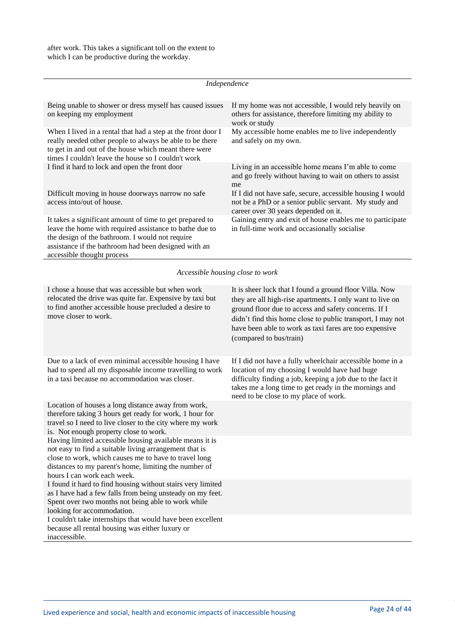|                                                                                                                                                                                                                                                              | Independence                                                                                                                                                |
|--------------------------------------------------------------------------------------------------------------------------------------------------------------------------------------------------------------------------------------------------------------|-------------------------------------------------------------------------------------------------------------------------------------------------------------|
| Being unable to shower or dress myself has caused issues<br>on keeping my employment                                                                                                                                                                         | If my home was not accessible, I would rely heavily on<br>others for assistance, therefore limiting my ability to<br>work or study                          |
| When I lived in a rental that had a step at the front door I<br>really needed other people to always be able to be there<br>to get in and out of the house which meant there were<br>times I couldn't leave the house so I couldn't work                     | My accessible home enables me to live independently<br>and safely on my own.                                                                                |
| I find it hard to lock and open the front door                                                                                                                                                                                                               | Living in an accessible home means I'm able to come<br>and go freely without having to wait on others to assist<br>me                                       |
| Difficult moving in house doorways narrow no safe<br>access into/out of house.                                                                                                                                                                               | If I did not have safe, secure, accessible housing I would<br>not be a PhD or a senior public servant. My study and<br>career over 30 years depended on it. |
| It takes a significant amount of time to get prepared to<br>leave the home with required assistance to bathe due to<br>the design of the bathroom. I would not require<br>assistance if the bathroom had been designed with an<br>accessible thought process | Gaining entry and exit of house enables me to participate<br>in full-time work and occasionally socialise                                                   |

*Accessible housing close to work*

| I chose a house that was accessible but when work<br>relocated the drive was quite far. Expensive by taxi but<br>to find another accessible house precluded a desire to<br>move closer to work.                                                                    | It is sheer luck that I found a ground floor Villa. Now<br>they are all high-rise apartments. I only want to live on<br>ground floor due to access and safety concerns. If I<br>didn't find this home close to public transport, I may not<br>have been able to work as taxi fares are too expensive<br>(compared to bus/train) |
|--------------------------------------------------------------------------------------------------------------------------------------------------------------------------------------------------------------------------------------------------------------------|---------------------------------------------------------------------------------------------------------------------------------------------------------------------------------------------------------------------------------------------------------------------------------------------------------------------------------|
| Due to a lack of even minimal accessible housing I have<br>had to spend all my disposable income travelling to work<br>in a taxi because no accommodation was closer.                                                                                              | If I did not have a fully wheelchair accessible home in a<br>location of my choosing I would have had huge<br>difficulty finding a job, keeping a job due to the fact it<br>takes me a long time to get ready in the mornings and<br>need to be close to my place of work.                                                      |
| Location of houses a long distance away from work,<br>therefore taking 3 hours get ready for work, 1 hour for<br>travel so I need to live closer to the city where my work<br>is. Not enough property close to work.                                               |                                                                                                                                                                                                                                                                                                                                 |
| Having limited accessible housing available means it is<br>not easy to find a suitable living arrangement that is<br>close to work, which causes me to have to travel long<br>distances to my parent's home, limiting the number of<br>hours I can work each week. |                                                                                                                                                                                                                                                                                                                                 |
| I found it hard to find housing without stairs very limited<br>as I have had a few falls from being unsteady on my feet.<br>Spent over two months not being able to work while<br>looking for accommodation.                                                       |                                                                                                                                                                                                                                                                                                                                 |
| I couldn't take internships that would have been excellent<br>because all rental housing was either luxury or<br>inaccessible.                                                                                                                                     |                                                                                                                                                                                                                                                                                                                                 |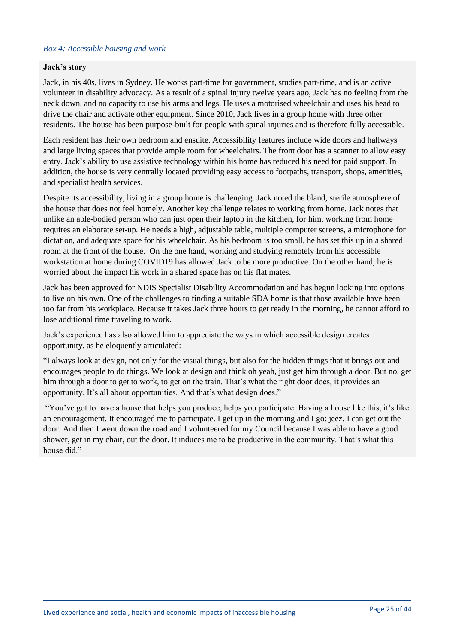#### *Box 4: Accessible housing and work*

#### **Jack's story**

Jack, in his 40s, lives in Sydney. He works part-time for government, studies part-time, and is an active volunteer in disability advocacy. As a result of a spinal injury twelve years ago, Jack has no feeling from the neck down, and no capacity to use his arms and legs. He uses a motorised wheelchair and uses his head to drive the chair and activate other equipment. Since 2010, Jack lives in a group home with three other residents. The house has been purpose-built for people with spinal injuries and is therefore fully accessible.

Each resident has their own bedroom and ensuite. Accessibility features include wide doors and hallways and large living spaces that provide ample room for wheelchairs. The front door has a scanner to allow easy entry. Jack's ability to use assistive technology within his home has reduced his need for paid support. In addition, the house is very centrally located providing easy access to footpaths, transport, shops, amenities, and specialist health services.

Despite its accessibility, living in a group home is challenging. Jack noted the bland, sterile atmosphere of the house that does not feel homely. Another key challenge relates to working from home. Jack notes that unlike an able-bodied person who can just open their laptop in the kitchen, for him, working from home requires an elaborate set-up. He needs a high, adjustable table, multiple computer screens, a microphone for dictation, and adequate space for his wheelchair. As his bedroom is too small, he has set this up in a shared room at the front of the house. On the one hand, working and studying remotely from his accessible workstation at home during COVID19 has allowed Jack to be more productive. On the other hand, he is worried about the impact his work in a shared space has on his flat mates.

Jack has been approved for NDIS Specialist Disability Accommodation and has begun looking into options to live on his own. One of the challenges to finding a suitable SDA home is that those available have been too far from his workplace. Because it takes Jack three hours to get ready in the morning, he cannot afford to lose additional time traveling to work.

Jack's experience has also allowed him to appreciate the ways in which accessible design creates opportunity, as he eloquently articulated:

"I always look at design, not only for the visual things, but also for the hidden things that it brings out and encourages people to do things. We look at design and think oh yeah, just get him through a door. But no, get him through a door to get to work, to get on the train. That's what the right door does, it provides an opportunity. It's all about opportunities. And that's what design does."

"You've got to have a house that helps you produce, helps you participate. Having a house like this, it's like an encouragement. It encouraged me to participate. I get up in the morning and I go: jeez, I can get out the door. And then I went down the road and I volunteered for my Council because I was able to have a good shower, get in my chair, out the door. It induces me to be productive in the community. That's what this house did."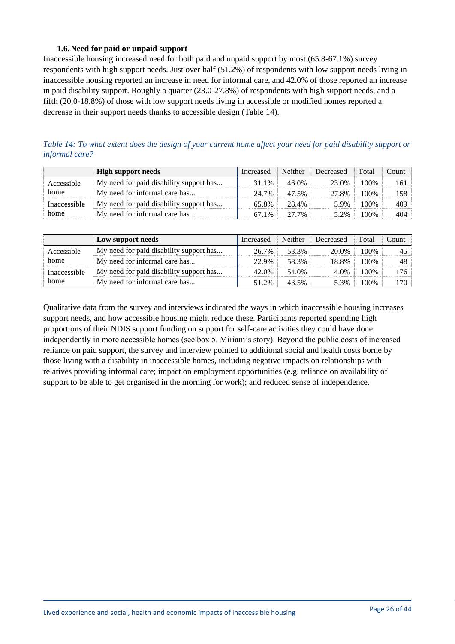### **1.6.Need for paid or unpaid support**

<span id="page-25-0"></span>Inaccessible housing increased need for both paid and unpaid support by most (65.8-67.1%) survey respondents with high support needs. Just over half (51.2%) of respondents with low support needs living in inaccessible housing reported an increase in need for informal care, and 42.0% of those reported an increase in paid disability support. Roughly a quarter (23.0-27.8%) of respondents with high support needs, and a fifth (20.0-18.8%) of those with low support needs living in accessible or modified homes reported a decrease in their support needs thanks to accessible design (Table 14).

<span id="page-25-1"></span>*Table 14: To what extent does the design of your current home affect your need for paid disability support or informal care?*

|              | <b>High support needs</b>               | Increased | Neither | Decreased | Total | Count |
|--------------|-----------------------------------------|-----------|---------|-----------|-------|-------|
| Accessible   | My need for paid disability support has | 31.1%     | 46.0%   | 23.0%     | 100%  | 161 - |
| home         | My need for informal care has           | 24.7%     | 47.5%   | 27.8%     | 100%  | 158 - |
| Inaccessible | My need for paid disability support has | 65.8%     | 28.4%   | 5.9%      | 100%  | 409   |
| home         | My need for informal care has           | 67.1%     | 27.7%   | 5.2%      | 100\% | 404   |

|              | Low support needs                       | Increased | <b>Neither</b> | Decreased | Total | Count |
|--------------|-----------------------------------------|-----------|----------------|-----------|-------|-------|
| Accessible   | My need for paid disability support has | 26.7%     | 53.3%          | 20.0%     | 100%  | 45    |
| home         | My need for informal care has           | 22.9%     | 58.3%          | 18.8%     | 100%  | 48    |
| Inaccessible | My need for paid disability support has | 42.0%     | 54.0%          | 4.0%      | 100%  | 176   |
| home         | My need for informal care has           | 51.2%     | 43.5%          | 5.3%      | 100%  | 170-  |

Qualitative data from the survey and interviews indicated the ways in which inaccessible housing increases support needs, and how accessible housing might reduce these. Participants reported spending high proportions of their NDIS support funding on support for self-care activities they could have done independently in more accessible homes (see box 5, Miriam's story). Beyond the public costs of increased reliance on paid support, the survey and interview pointed to additional social and health costs borne by those living with a disability in inaccessible homes, including negative impacts on relationships with relatives providing informal care; impact on employment opportunities (e.g. reliance on availability of support to be able to get organised in the morning for work); and reduced sense of independence.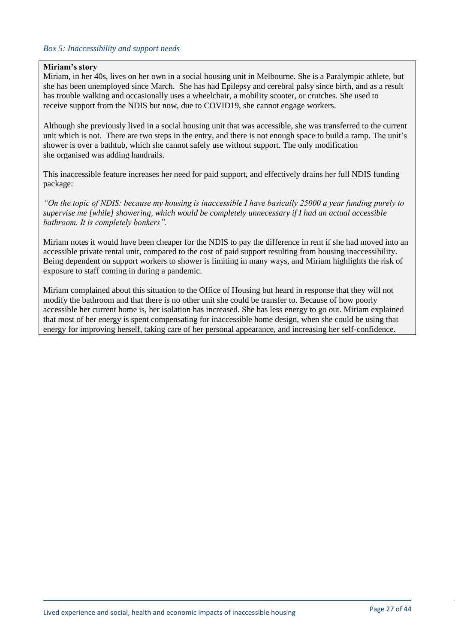#### *Box 5: Inaccessibility and support needs*

#### **Miriam's story**

Miriam, in her 40s, lives on her own in a social housing unit in Melbourne. She is a Paralympic athlete, but she has been unemployed since March. She has had Epilepsy and cerebral palsy since birth, and as a result has trouble walking and occasionally uses a wheelchair, a mobility scooter, or crutches. She used to receive support from the NDIS but now, due to COVID19, she cannot engage workers.

Although she previously lived in a social housing unit that was accessible, she was transferred to the current unit which is not. There are two steps in the entry, and there is not enough space to build a ramp. The unit's shower is over a bathtub, which she cannot safely use without support. The only modification she organised was adding handrails.

This inaccessible feature increases her need for paid support, and effectively drains her full NDIS funding package:

*"On the topic of NDIS: because my housing is inaccessible I have basically 25000 a year funding purely to supervise me [while] showering, which would be completely unnecessary if I had an actual accessible bathroom. It is completely bonkers".*

Miriam notes it would have been cheaper for the NDIS to pay the difference in rent if she had moved into an accessible private rental unit, compared to the cost of paid support resulting from housing inaccessibility. Being dependent on support workers to shower is limiting in many ways, and Miriam highlights the risk of exposure to staff coming in during a pandemic.

Miriam complained about this situation to the Office of Housing but heard in response that they will not modify the bathroom and that there is no other unit she could be transfer to. Because of how poorly accessible her current home is, her isolation has increased. She has less energy to go out. Miriam explained that most of her energy is spent compensating for inaccessible home design, when she could be using that energy for improving herself, taking care of her personal appearance, and increasing her self-confidence.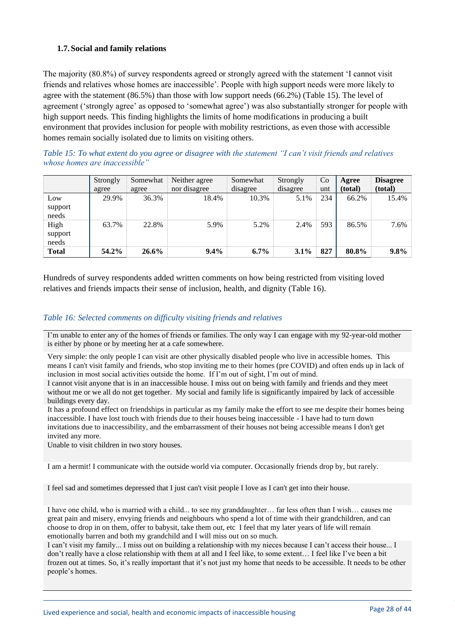# <span id="page-27-0"></span>**1.7.Social and family relations**

The majority (80.8%) of survey respondents agreed or strongly agreed with the statement 'I cannot visit friends and relatives whose homes are inaccessible'. People with high support needs were more likely to agree with the statement (86.5%) than those with low support needs (66.2%) (Table 15). The level of agreement ('strongly agree' as opposed to 'somewhat agree') was also substantially stronger for people with high support needs. This finding highlights the limits of home modifications in producing a built environment that provides inclusion for people with mobility restrictions, as even those with accessible homes remain socially isolated due to limits on visiting others.

<span id="page-27-1"></span>*Table 15: To what extent do you agree or disagree with the statement "I can't visit friends and relatives whose homes are inaccessible"*

|                          | Strongly<br>agree | Somewhat<br>agree | Neither agree<br>nor disagree | Somewhat<br>disagree | Strongly<br>disagree | Co<br>unt | Agree<br>(total) | <b>Disagree</b><br>(total) |
|--------------------------|-------------------|-------------------|-------------------------------|----------------------|----------------------|-----------|------------------|----------------------------|
| Low<br>support<br>needs  | 29.9%             | 36.3%             | 18.4%                         | 10.3%                | 5.1%                 | 234       | 66.2%            | 15.4%                      |
| High<br>support<br>needs | 63.7%             | 22.8%             | 5.9%                          | 5.2%                 | 2.4%                 | 593       | 86.5%            | 7.6%                       |
| <b>Total</b>             | 54.2%             | $26.6\%$          | $9.4\%$                       | $6.7\%$              | $3.1\%$              | 827       | 80.8%            | $9.8\%$                    |

Hundreds of survey respondents added written comments on how being restricted from visiting loved relatives and friends impacts their sense of inclusion, health, and dignity (Table 16).

#### <span id="page-27-2"></span>*Table 16: Selected comments on difficulty visiting friends and relatives*

I'm unable to enter any of the homes of friends or families. The only way I can engage with my 92-year-old mother is either by phone or by meeting her at a cafe somewhere.

Very simple: the only people I can visit are other physically disabled people who live in accessible homes. This means I can't visit family and friends, who stop inviting me to their homes (pre COVID) and often ends up in lack of inclusion in most social activities outside the home. If I'm out of sight, I'm out of mind.

I cannot visit anyone that is in an inaccessible house. I miss out on being with family and friends and they meet without me or we all do not get together. My social and family life is significantly impaired by lack of accessible buildings every day.

It has a profound effect on friendships in particular as my family make the effort to see me despite their homes being inaccessible. I have lost touch with friends due to their houses being inaccessible - I have had to turn down invitations due to inaccessibility, and the embarrassment of their houses not being accessible means I don't get invited any more.

Unable to visit children in two story houses.

I am a hermit! I communicate with the outside world via computer. Occasionally friends drop by, but rarely.

I feel sad and sometimes depressed that I just can't visit people I love as I can't get into their house.

I have one child, who is married with a child... to see my granddaughter… far less often than I wish… causes me great pain and misery, envying friends and neighbours who spend a lot of time with their grandchildren, and can choose to drop in on them, offer to babysit, take them out, etc I feel that my later years of life will remain emotionally barren and both my grandchild and I will miss out on so much.

I can't visit my family... I miss out on building a relationship with my nieces because I can't access their house... I don't really have a close relationship with them at all and I feel like, to some extent… I feel like I've been a bit frozen out at times. So, it's really important that it's not just my home that needs to be accessible. It needs to be other people's homes.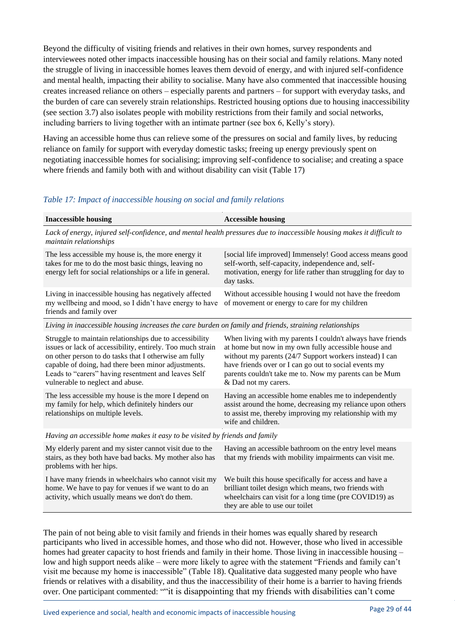Beyond the difficulty of visiting friends and relatives in their own homes, survey respondents and interviewees noted other impacts inaccessible housing has on their social and family relations. Many noted the struggle of living in inaccessible homes leaves them devoid of energy, and with injured self-confidence and mental health, impacting their ability to socialise. Many have also commented that inaccessible housing creates increased reliance on others – especially parents and partners – for support with everyday tasks, and the burden of care can severely strain relationships. Restricted housing options due to housing inaccessibility (see section 3.7) also isolates people with mobility restrictions from their family and social networks, including barriers to living together with an intimate partner (see box 6, Kelly's story).

Having an accessible home thus can relieve some of the pressures on social and family lives, by reducing reliance on family for support with everyday domestic tasks; freeing up energy previously spent on negotiating inaccessible homes for socialising; improving self-confidence to socialise; and creating a space where friends and family both with and without disability can visit (Table 17)

#### <span id="page-28-0"></span>*Table 17: Impact of inaccessible housing on social and family relations*

| <b>Inaccessible housing</b>                                                                                                                                                                                                                                                                                                      | <b>Accessible housing</b>                                                                                                                                                                                                                                                                                                |  |  |  |
|----------------------------------------------------------------------------------------------------------------------------------------------------------------------------------------------------------------------------------------------------------------------------------------------------------------------------------|--------------------------------------------------------------------------------------------------------------------------------------------------------------------------------------------------------------------------------------------------------------------------------------------------------------------------|--|--|--|
| maintain relationships                                                                                                                                                                                                                                                                                                           | Lack of energy, injured self-confidence, and mental health pressures due to inaccessible housing makes it difficult to                                                                                                                                                                                                   |  |  |  |
| The less accessible my house is, the more energy it<br>takes for me to do the most basic things, leaving no<br>energy left for social relationships or a life in general.                                                                                                                                                        | [social life improved] Immensely! Good access means good<br>self-worth, self-capacity, independence and, self-<br>motivation, energy for life rather than struggling for day to<br>day tasks.                                                                                                                            |  |  |  |
| Living in inaccessible housing has negatively affected<br>my wellbeing and mood, so I didn't have energy to have<br>friends and family over                                                                                                                                                                                      | Without accessible housing I would not have the freedom<br>of movement or energy to care for my children                                                                                                                                                                                                                 |  |  |  |
| Living in inaccessible housing increases the care burden on family and friends, straining relationships                                                                                                                                                                                                                          |                                                                                                                                                                                                                                                                                                                          |  |  |  |
| Struggle to maintain relationships due to accessibility<br>issues or lack of accessibility, entirely. Too much strain<br>on other person to do tasks that I otherwise am fully<br>capable of doing, had there been minor adjustments.<br>Leads to "carers" having resentment and leaves Self<br>vulnerable to neglect and abuse. | When living with my parents I couldn't always have friends<br>at home but now in my own fully accessible house and<br>without my parents (24/7 Support workers instead) I can<br>have friends over or I can go out to social events my<br>parents couldn't take me to. Now my parents can be Mum<br>& Dad not my carers. |  |  |  |
| The less accessible my house is the more I depend on<br>my family for help, which definitely hinders our<br>relationships on multiple levels.                                                                                                                                                                                    | Having an accessible home enables me to independently<br>assist around the home, decreasing my reliance upon others<br>to assist me, thereby improving my relationship with my<br>wife and children.                                                                                                                     |  |  |  |
| Having an accessible home makes it easy to be visited by friends and family                                                                                                                                                                                                                                                      |                                                                                                                                                                                                                                                                                                                          |  |  |  |
| My elderly parent and my sister cannot visit due to the<br>stairs, as they both have bad backs. My mother also has<br>problems with her hips.                                                                                                                                                                                    | Having an accessible bathroom on the entry level means<br>that my friends with mobility impairments can visit me.                                                                                                                                                                                                        |  |  |  |
| I have many friends in wheelchairs who cannot visit my<br>home. We have to pay for venues if we want to do an<br>activity, which usually means we don't do them.                                                                                                                                                                 | We built this house specifically for access and have a<br>brilliant toilet design which means, two friends with<br>wheelchairs can visit for a long time (pre COVID19) as<br>they are able to use our toilet                                                                                                             |  |  |  |

The pain of not being able to visit family and friends in their homes was equally shared by research participants who lived in accessible homes, and those who did not. However, those who lived in accessible homes had greater capacity to host friends and family in their home. Those living in inaccessible housing – low and high support needs alike – were more likely to agree with the statement "Friends and family can't visit me because my home is inaccessible" (Table 18). Qualitative data suggested many people who have friends or relatives with a disability, and thus the inaccessibility of their home is a barrier to having friends over. One participant commented: ""it is disappointing that my friends with disabilities can't come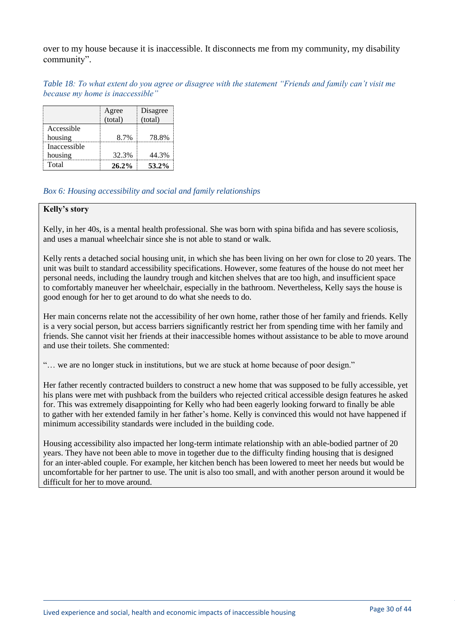over to my house because it is inaccessible. It disconnects me from my community, my disability community".

<span id="page-29-0"></span>*Table 18: To what extent do you agree or disagree with the statement "Friends and family can't visit me because my home is inaccessible"*

|              | Agree    | Disagree |
|--------------|----------|----------|
|              | (total)  | (total)  |
| Accessible   |          |          |
| housing      | 8.7%     | 78.8%    |
| Inaccessible |          |          |
| housing      | 32.3%    | 44.3%    |
| Total        | $26.2\%$ | 53.2%    |

#### *Box 6: Housing accessibility and social and family relationships*

#### **Kelly's story**

Kelly, in her 40s, is a mental health professional. She was born with spina bifida and has severe scoliosis, and uses a manual wheelchair since she is not able to stand or walk.

Kelly rents a detached social housing unit, in which she has been living on her own for close to 20 years. The unit was built to standard accessibility specifications. However, some features of the house do not meet her personal needs, including the laundry trough and kitchen shelves that are too high, and insufficient space to comfortably maneuver her wheelchair, especially in the bathroom. Nevertheless, Kelly says the house is good enough for her to get around to do what she needs to do.

Her main concerns relate not the accessibility of her own home, rather those of her family and friends. Kelly is a very social person, but access barriers significantly restrict her from spending time with her family and friends. She cannot visit her friends at their inaccessible homes without assistance to be able to move around and use their toilets. She commented:

"… we are no longer stuck in institutions, but we are stuck at home because of poor design."

Her father recently contracted builders to construct a new home that was supposed to be fully accessible, yet his plans were met with pushback from the builders who rejected critical accessible design features he asked for. This was extremely disappointing for Kelly who had been eagerly looking forward to finally be able to gather with her extended family in her father's home. Kelly is convinced this would not have happened if minimum accessibility standards were included in the building code.

Housing accessibility also impacted her long-term intimate relationship with an able-bodied partner of 20 years. They have not been able to move in together due to the difficulty finding housing that is designed for an inter-abled couple. For example, her kitchen bench has been lowered to meet her needs but would be uncomfortable for her partner to use. The unit is also too small, and with another person around it would be difficult for her to move around.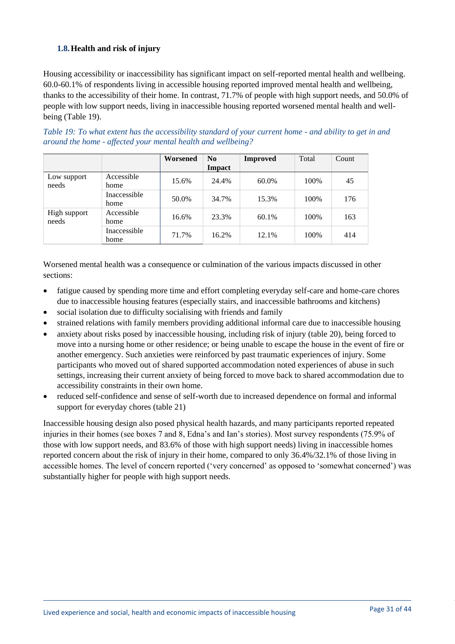# <span id="page-30-0"></span>**1.8.Health and risk of injury**

Housing accessibility or inaccessibility has significant impact on self-reported mental health and wellbeing. 60.0-60.1% of respondents living in accessible housing reported improved mental health and wellbeing, thanks to the accessibility of their home. In contrast, 71.7% of people with high support needs, and 50.0% of people with low support needs, living in inaccessible housing reported worsened mental health and wellbeing (Table 19).

<span id="page-30-1"></span>

|                                                              | Table 19: To what extent has the accessibility standard of your current home - and ability to get in and |  |
|--------------------------------------------------------------|----------------------------------------------------------------------------------------------------------|--|
| around the home - affected your mental health and wellbeing? |                                                                                                          |  |
|                                                              |                                                                                                          |  |

|                       |                      | Worsened | N <sub>0</sub><br>Impact | <b>Improved</b> | Total | Count |
|-----------------------|----------------------|----------|--------------------------|-----------------|-------|-------|
| Low support<br>needs  | Accessible<br>home   | 15.6%    | 24.4%                    | 60.0%           | 100\% | 45    |
|                       | Inaccessible<br>home | 50.0%    | 34.7%                    | 15.3%           | 100\% | 176   |
| High support<br>needs | Accessible<br>home   | 16.6%    | 23.3%                    | $60.1\%$        | 100\% | 163   |
|                       | Inaccessible<br>home | 71.7%    | 16.2%                    | $12.1\%$        | 100\% | 414   |

Worsened mental health was a consequence or culmination of the various impacts discussed in other sections:

- fatigue caused by spending more time and effort completing everyday self-care and home-care chores due to inaccessible housing features (especially stairs, and inaccessible bathrooms and kitchens)
- social isolation due to difficulty socialising with friends and family
- strained relations with family members providing additional informal care due to inaccessible housing
- anxiety about risks posed by inaccessible housing, including risk of injury (table 20), being forced to move into a nursing home or other residence; or being unable to escape the house in the event of fire or another emergency. Such anxieties were reinforced by past traumatic experiences of injury. Some participants who moved out of shared supported accommodation noted experiences of abuse in such settings, increasing their current anxiety of being forced to move back to shared accommodation due to accessibility constraints in their own home.
- reduced self-confidence and sense of self-worth due to increased dependence on formal and informal support for everyday chores (table 21)

<span id="page-30-2"></span>Inaccessible housing design also posed physical health hazards, and many participants reported repeated injuries in their homes (see boxes 7 and 8, Edna's and Ian's stories). Most survey respondents (75.9% of those with low support needs, and 83.6% of those with high support needs) living in inaccessible homes reported concern about the risk of injury in their home, compared to only 36.4%/32.1% of those living in accessible homes. The level of concern reported ('very concerned' as opposed to 'somewhat concerned') was substantially higher for people with high support needs.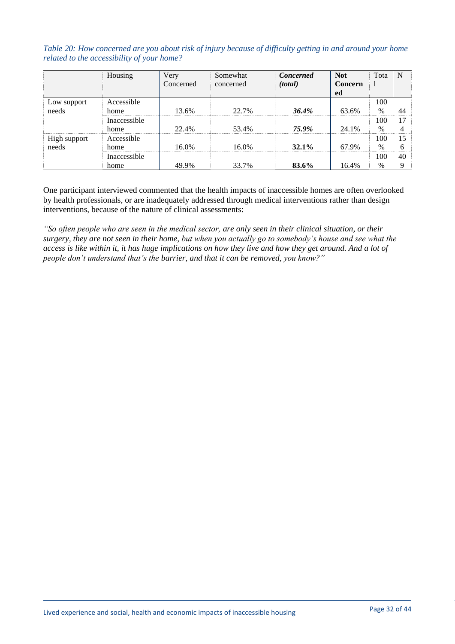*Table 20: How concerned are you about risk of injury because of difficulty getting in and around your home related to the accessibility of your home?*

|                      | Housing      | Very      | Somewhat  | <b>Concerned</b> | <b>Not</b> | Tota          | N   |
|----------------------|--------------|-----------|-----------|------------------|------------|---------------|-----|
|                      |              | Concerned | concerned | (total)          | Concern    |               |     |
|                      |              |           |           |                  | ed         |               |     |
|                      | Accessible   |           |           |                  |            | 100           |     |
| Low support<br>needs | home         | 13.6%     | 22.7%     | 36.4%            | 63.6%      | $\frac{0}{0}$ |     |
|                      | Inaccessible |           |           |                  |            | 100           |     |
|                      | home         | 22.4%     | 53.4%     | 75.9%            | 24 1%      | $\%$          |     |
| High support         | Accessible   |           |           |                  |            | 100           | . 5 |
| needs                | home         | 16.0%     | 16.0%     | $32.1\%$         | 67.9%      | $\frac{0}{0}$ |     |
|                      | Inaccessible |           |           |                  |            | 100           | 40  |
|                      | home         | 49.9%     | 33.7%     | 83.6%            | 16.4%      | $\%$          |     |

One participant interviewed commented that the health impacts of inaccessible homes are often overlooked by health professionals, or are inadequately addressed through medical interventions rather than design interventions, because of the nature of clinical assessments:

*"So often people who are seen in the medical sector, are only seen in their clinical situation, or their surgery, they are not seen in their home, but when you actually go to somebody's house and see what the access is like within it, it has huge implications on how they live and how they get around. And a lot of people don't understand that's the barrier, and that it can be removed, you know?"*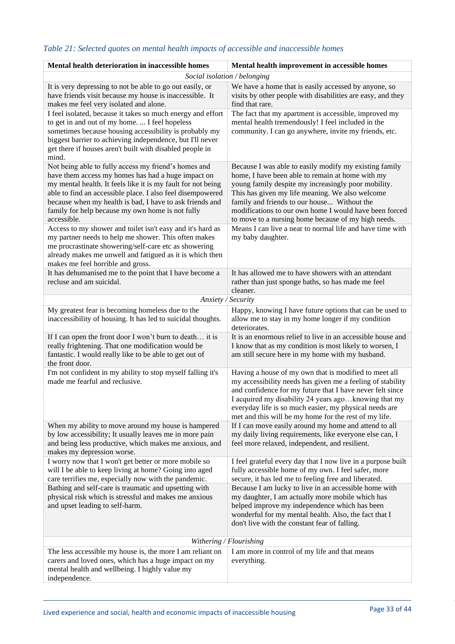| Mental health deterioration in inaccessible homes                                                                                                                                                                                                                                                                                                                       | Mental health improvement in accessible homes                                                                                                                                                                                                                                                                                                                                        |
|-------------------------------------------------------------------------------------------------------------------------------------------------------------------------------------------------------------------------------------------------------------------------------------------------------------------------------------------------------------------------|--------------------------------------------------------------------------------------------------------------------------------------------------------------------------------------------------------------------------------------------------------------------------------------------------------------------------------------------------------------------------------------|
|                                                                                                                                                                                                                                                                                                                                                                         | Social isolation / belonging                                                                                                                                                                                                                                                                                                                                                         |
| It is very depressing to not be able to go out easily, or<br>have friends visit because my house is inaccessible. It<br>makes me feel very isolated and alone.                                                                                                                                                                                                          | We have a home that is easily accessed by anyone, so<br>visits by other people with disabilities are easy, and they<br>find that rare.                                                                                                                                                                                                                                               |
| I feel isolated, because it takes so much energy and effort<br>to get in and out of my home.  I feel hopeless<br>sometimes because housing accessibility is probably my<br>biggest barrier to achieving independence, but I'll never<br>get there if houses aren't built with disabled people in<br>mind.                                                               | The fact that my apartment is accessible, improved my<br>mental health tremendously! I feel included in the<br>community. I can go anywhere, invite my friends, etc.                                                                                                                                                                                                                 |
| Not being able to fully access my friend's homes and<br>have them access my homes has had a huge impact on<br>my mental health. It feels like it is my fault for not being<br>able to find an accessible place. I also feel disempowered<br>because when my health is bad, I have to ask friends and<br>family for help because my own home is not fully<br>accessible. | Because I was able to easily modify my existing family<br>home, I have been able to remain at home with my<br>young family despite my increasingly poor mobility.<br>This has given my life meaning. We also welcome<br>family and friends to our house Without the<br>modifications to our own home I would have been forced<br>to move to a nursing home because of my high needs. |
| Access to my shower and toilet isn't easy and it's hard as<br>my partner needs to help me shower. This often makes<br>me procrastinate showering/self-care etc as showering<br>already makes me unwell and fatigued as it is which then<br>makes me feel horrible and gross.                                                                                            | Means I can live a near to normal life and have time with<br>my baby daughter.                                                                                                                                                                                                                                                                                                       |
| It has dehumanised me to the point that I have become a<br>recluse and am suicidal.                                                                                                                                                                                                                                                                                     | It has allowed me to have showers with an attendant<br>rather than just sponge baths, so has made me feel<br>cleaner.                                                                                                                                                                                                                                                                |
| Anxiety / Security                                                                                                                                                                                                                                                                                                                                                      |                                                                                                                                                                                                                                                                                                                                                                                      |
| My greatest fear is becoming homeless due to the<br>inaccessibility of housing. It has led to suicidal thoughts.                                                                                                                                                                                                                                                        | Happy, knowing I have future options that can be used to<br>allow me to stay in my home longer if my condition<br>deteriorates.                                                                                                                                                                                                                                                      |
| If I can open the front door I won't burn to death it is<br>really frightening. That one modification would be<br>fantastic. I would really like to be able to get out of<br>the front door.                                                                                                                                                                            | It is an enormous relief to live in an accessible house and<br>I know that as my condition is most likely to worsen, I<br>am still secure here in my home with my husband.                                                                                                                                                                                                           |
| I'm not confident in my ability to stop myself falling it's<br>made me fearful and reclusive.                                                                                                                                                                                                                                                                           | Having a house of my own that is modified to meet all<br>my accessibility needs has given me a feeling of stability<br>and confidence for my future that I have never felt since<br>I acquired my disability 24 years agoknowing that my<br>everyday life is so much easier, my physical needs are<br>met and this will be my home for the rest of my life.                          |
| When my ability to move around my house is hampered<br>by low accessibility; It usually leaves me in more pain<br>and being less productive, which makes me anxious, and<br>makes my depression worse.                                                                                                                                                                  | If I can move easily around my home and attend to all<br>my daily living requirements, like everyone else can, I<br>feel more relaxed, independent, and resilient.                                                                                                                                                                                                                   |
| I worry now that I won't get better or more mobile so<br>will I be able to keep living at home? Going into aged<br>care terrifies me, especially now with the pandemic.                                                                                                                                                                                                 | I feel grateful every day that I now live in a purpose built<br>fully accessible home of my own. I feel safer, more<br>secure, it has led me to feeling free and liberated.                                                                                                                                                                                                          |
| Bathing and self-care is traumatic and upsetting with<br>physical risk which is stressful and makes me anxious<br>and upset leading to self-harm.                                                                                                                                                                                                                       | Because I am lucky to live in an accessible home with<br>my daughter, I am actually more mobile which has<br>helped improve my independence which has been<br>wonderful for my mental health. Also, the fact that I<br>don't live with the constant fear of falling.                                                                                                                 |
|                                                                                                                                                                                                                                                                                                                                                                         | Withering / Flourishing                                                                                                                                                                                                                                                                                                                                                              |
| The less accessible my house is, the more I am reliant on<br>carers and loved ones, which has a huge impact on my<br>mental health and wellbeing. I highly value my<br>independence.                                                                                                                                                                                    | I am more in control of my life and that means<br>everything.                                                                                                                                                                                                                                                                                                                        |

# <span id="page-32-0"></span>*Table 21: Selected quotes on mental health impacts of accessible and inaccessible homes*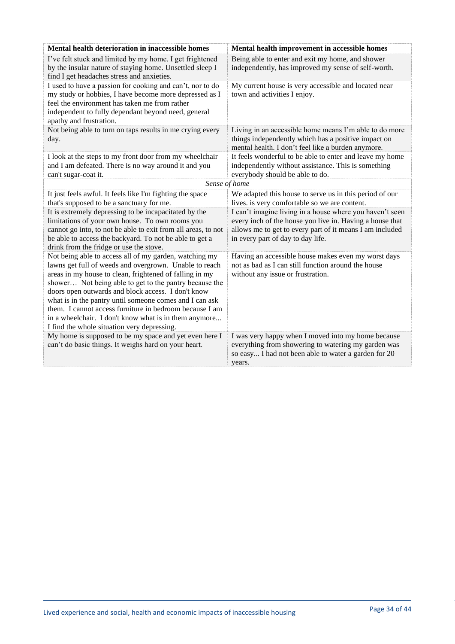| Mental health deterioration in inaccessible homes                                                                                                                                                                                                                                                                                                                                                                                                                                                                         | Mental health improvement in accessible homes                                                                                                                                                                         |
|---------------------------------------------------------------------------------------------------------------------------------------------------------------------------------------------------------------------------------------------------------------------------------------------------------------------------------------------------------------------------------------------------------------------------------------------------------------------------------------------------------------------------|-----------------------------------------------------------------------------------------------------------------------------------------------------------------------------------------------------------------------|
| I've felt stuck and limited by my home. I get frightened<br>by the insular nature of staying home. Unsettled sleep I<br>find I get headaches stress and anxieties.                                                                                                                                                                                                                                                                                                                                                        | Being able to enter and exit my home, and shower<br>independently, has improved my sense of self-worth.                                                                                                               |
| I used to have a passion for cooking and can't, nor to do<br>my study or hobbies, I have become more depressed as I<br>feel the environment has taken me from rather<br>independent to fully dependant beyond need, general<br>apathy and frustration.                                                                                                                                                                                                                                                                    | My current house is very accessible and located near<br>town and activities I enjoy.                                                                                                                                  |
| Not being able to turn on taps results in me crying every<br>day.                                                                                                                                                                                                                                                                                                                                                                                                                                                         | Living in an accessible home means I'm able to do more<br>things independently which has a positive impact on<br>mental health. I don't feel like a burden anymore.                                                   |
| I look at the steps to my front door from my wheelchair<br>and I am defeated. There is no way around it and you<br>can't sugar-coat it.                                                                                                                                                                                                                                                                                                                                                                                   | It feels wonderful to be able to enter and leave my home<br>independently without assistance. This is something<br>everybody should be able to do.                                                                    |
| Sense of home                                                                                                                                                                                                                                                                                                                                                                                                                                                                                                             |                                                                                                                                                                                                                       |
| It just feels awful. It feels like I'm fighting the space<br>that's supposed to be a sanctuary for me.                                                                                                                                                                                                                                                                                                                                                                                                                    | We adapted this house to serve us in this period of our<br>lives. is very comfortable so we are content.                                                                                                              |
| It is extremely depressing to be incapacitated by the<br>limitations of your own house. To own rooms you<br>cannot go into, to not be able to exit from all areas, to not<br>be able to access the backyard. To not be able to get a<br>drink from the fridge or use the stove.                                                                                                                                                                                                                                           | I can't imagine living in a house where you haven't seen<br>every inch of the house you live in. Having a house that<br>allows me to get to every part of it means I am included<br>in every part of day to day life. |
| Not being able to access all of my garden, watching my<br>lawns get full of weeds and overgrown. Unable to reach<br>areas in my house to clean, frightened of falling in my<br>shower Not being able to get to the pantry because the<br>doors open outwards and block access. I don't know<br>what is in the pantry until someone comes and I can ask<br>them. I cannot access furniture in bedroom because I am<br>in a wheelchair. I don't know what is in them anymore<br>I find the whole situation very depressing. | Having an accessible house makes even my worst days<br>not as bad as I can still function around the house<br>without any issue or frustration.                                                                       |
| My home is supposed to be my space and yet even here I<br>can't do basic things. It weighs hard on your heart.                                                                                                                                                                                                                                                                                                                                                                                                            | I was very happy when I moved into my home because<br>everything from showering to watering my garden was<br>so easy I had not been able to water a garden for 20<br>years.                                           |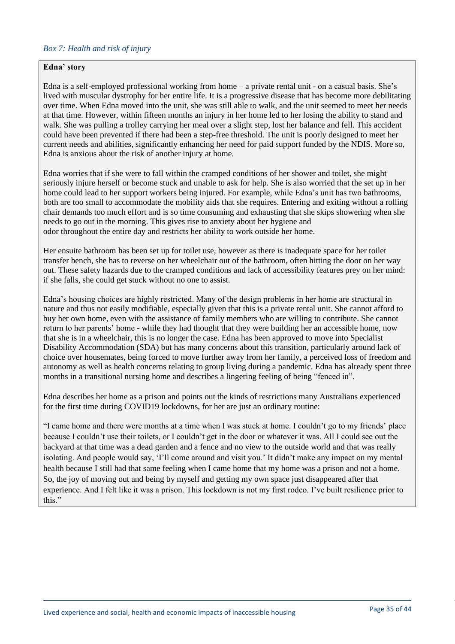#### *Box 7: Health and risk of injury*

#### **Edna' story**

Edna is a self-employed professional working from home – a private rental unit - on a casual basis. She's lived with muscular dystrophy for her entire life. It is a progressive disease that has become more debilitating over time. When Edna moved into the unit, she was still able to walk, and the unit seemed to meet her needs at that time. However, within fifteen months an injury in her home led to her losing the ability to stand and walk. She was pulling a trolley carrying her meal over a slight step, lost her balance and fell. This accident could have been prevented if there had been a step-free threshold. The unit is poorly designed to meet her current needs and abilities, significantly enhancing her need for paid support funded by the NDIS. More so, Edna is anxious about the risk of another injury at home.

Edna worries that if she were to fall within the cramped conditions of her shower and toilet, she might seriously injure herself or become stuck and unable to ask for help. She is also worried that the set up in her home could lead to her support workers being injured. For example, while Edna's unit has two bathrooms, both are too small to accommodate the mobility aids that she requires. Entering and exiting without a rolling chair demands too much effort and is so time consuming and exhausting that she skips showering when she needs to go out in the morning. This gives rise to anxiety about her hygiene and odor throughout the entire day and restricts her ability to work outside her home.

Her ensuite bathroom has been set up for toilet use, however as there is inadequate space for her toilet transfer bench, she has to reverse on her wheelchair out of the bathroom, often hitting the door on her way out. These safety hazards due to the cramped conditions and lack of accessibility features prey on her mind: if she falls, she could get stuck without no one to assist.

Edna's housing choices are highly restricted. Many of the design problems in her home are structural in nature and thus not easily modifiable, especially given that this is a private rental unit. She cannot afford to buy her own home, even with the assistance of family members who are willing to contribute. She cannot return to her parents' home - while they had thought that they were building her an accessible home, now that she is in a wheelchair, this is no longer the case. Edna has been approved to move into Specialist Disability Accommodation (SDA) but has many concerns about this transition, particularly around lack of choice over housemates, being forced to move further away from her family, a perceived loss of freedom and autonomy as well as health concerns relating to group living during a pandemic. Edna has already spent three months in a transitional nursing home and describes a lingering feeling of being "fenced in".

Edna describes her home as a prison and points out the kinds of restrictions many Australians experienced for the first time during COVID19 lockdowns, for her are just an ordinary routine:

"I came home and there were months at a time when I was stuck at home. I couldn't go to my friends' place because I couldn't use their toilets, or I couldn't get in the door or whatever it was. All I could see out the backyard at that time was a dead garden and a fence and no view to the outside world and that was really isolating. And people would say, 'I'll come around and visit you.' It didn't make any impact on my mental health because I still had that same feeling when I came home that my home was a prison and not a home. So, the joy of moving out and being by myself and getting my own space just disappeared after that experience. And I felt like it was a prison. This lockdown is not my first rodeo. I've built resilience prior to this."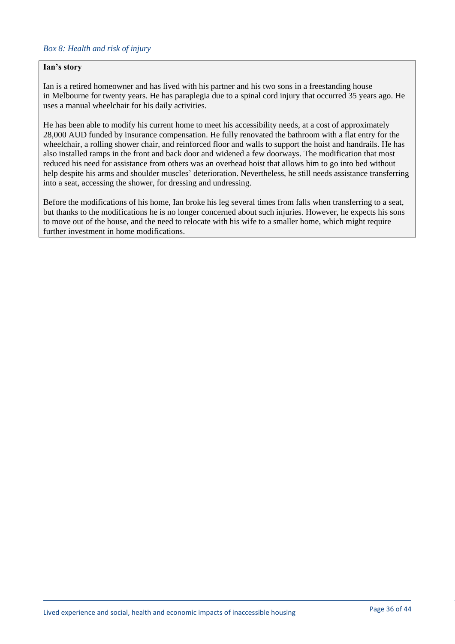#### **Ian's story**

Ian is a retired homeowner and has lived with his partner and his two sons in a freestanding house in Melbourne for twenty years. He has paraplegia due to a spinal cord injury that occurred 35 years ago. He uses a manual wheelchair for his daily activities.

He has been able to modify his current home to meet his accessibility needs, at a cost of approximately 28,000 AUD funded by insurance compensation. He fully renovated the bathroom with a flat entry for the wheelchair, a rolling shower chair, and reinforced floor and walls to support the hoist and handrails. He has also installed ramps in the front and back door and widened a few doorways. The modification that most reduced his need for assistance from others was an overhead hoist that allows him to go into bed without help despite his arms and shoulder muscles' deterioration. Nevertheless, he still needs assistance transferring into a seat, accessing the shower, for dressing and undressing.

Before the modifications of his home, Ian broke his leg several times from falls when transferring to a seat, but thanks to the modifications he is no longer concerned about such injuries. However, he expects his sons to move out of the house, and the need to relocate with his wife to a smaller home, which might require further investment in home modifications.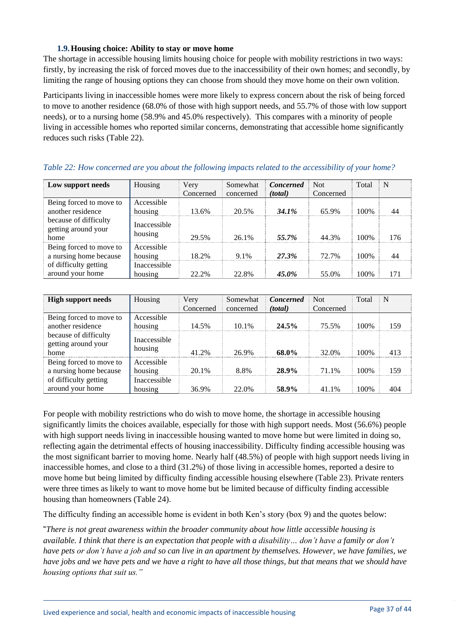#### **1.9.Housing choice: Ability to stay or move home**

<span id="page-36-0"></span>The shortage in accessible housing limits housing choice for people with mobility restrictions in two ways: firstly, by increasing the risk of forced moves due to the inaccessibility of their own homes; and secondly, by limiting the range of housing options they can choose from should they move home on their own volition.

Participants living in inaccessible homes were more likely to express concern about the risk of being forced to move to another residence (68.0% of those with high support needs, and 55.7% of those with low support needs), or to a nursing home (58.9% and 45.0% respectively). This compares with a minority of people living in accessible homes who reported similar concerns, demonstrating that accessible home significantly reduces such risks (Table 22).

| Low support needs                                    | Housing                 | Very      | Somewhat  | <b>Concerned</b> | <b>Not</b> | Total | N   |
|------------------------------------------------------|-------------------------|-----------|-----------|------------------|------------|-------|-----|
|                                                      |                         | Concerned | concerned | (total)          | Concerned  |       |     |
| Being forced to move to                              | Accessible              |           |           |                  |            |       |     |
| another residence                                    | housing                 | 13.6%     | 20.5%     | 34.1%            | 65.9%      | 100\% | 44  |
| because of difficulty<br>getting around your<br>home | Inaccessible<br>housing | 29.5%     | 26.1%     | 55.7%            | 44.3%      | 100%  | 176 |
| Being forced to move to<br>a nursing home because    | Accessible<br>housing   | 18 2%     | $91\%$    | 27.3%            | 72.7%      | 100\% | ΔΔ  |
| of difficulty getting<br>around your home            | Inaccessible<br>housing | 22.2%     | 22.8%     | 45.0%            | 55.0%      | 100\% |     |

# <span id="page-36-1"></span>*Table 22: How concerned are you about the following impacts related to the accessibility of your home?*

| <b>High support needs</b>                                                                            | Housing                 | Very      | Somewhat  | Concerned | <b>Not</b> | Total | N   |
|------------------------------------------------------------------------------------------------------|-------------------------|-----------|-----------|-----------|------------|-------|-----|
|                                                                                                      |                         | Concerned | concerned | (total)   | Concerned  |       |     |
| Being forced to move to<br>another residence<br>because of difficulty<br>getting around your<br>home | Accessible<br>housing   | 14.5%     | 10.1%     | 24.5%     | 75.5%      | 100\% | 159 |
|                                                                                                      | Inaccessible<br>housing | 41 2%     | 26.9%     | 68.0%     | 32.0%      | 100\% | 413 |
| Being forced to move to<br>a nursing home because                                                    | Accessible<br>housing   | 20.1%     | 8.8%      | 28.9%     | 71.1%      | 100\% | 159 |
| of difficulty getting<br>around your home                                                            | Inaccessible<br>housing | 36.9%     | 22.0%     | 58.9%     | 41.1%      | 100%  | 404 |

For people with mobility restrictions who do wish to move home, the shortage in accessible housing significantly limits the choices available, especially for those with high support needs. Most (56.6%) people with high support needs living in inaccessible housing wanted to move home but were limited in doing so, reflecting again the detrimental effects of housing inaccessibility. Difficulty finding accessible housing was the most significant barrier to moving home. Nearly half (48.5%) of people with high support needs living in inaccessible homes, and close to a third (31.2%) of those living in accessible homes, reported a desire to move home but being limited by difficulty finding accessible housing elsewhere (Table 23). Private renters were three times as likely to want to move home but be limited because of difficulty finding accessible housing than homeowners (Table 24).

<span id="page-36-2"></span>The difficulty finding an accessible home is evident in both Ken's story (box 9) and the quotes below:

"*There is not great awareness within the broader community about how little accessible housing is available. I think that there is an expectation that people with a disability… don't have a family or don't have pets or don't have a job and so can live in an apartment by themselves. However, we have families, we have jobs and we have pets and we have a right to have all those things, but that means that we should have housing options that suit us."*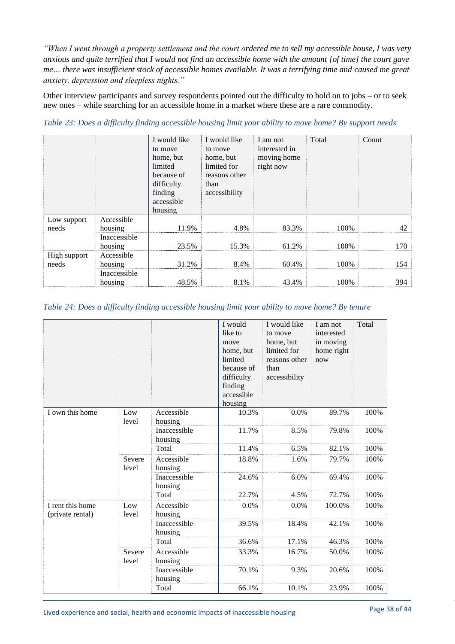*"When I went through a property settlement and the court ordered me to sell my accessible house, I was very anxious and quite terrified that I would not find an accessible home with the amount [of time] the court gave me… there was insufficient stock of accessible homes available. It was a terrifying time and caused me great anxiety, depression and sleepless nights."*

Other interview participants and survey respondents pointed out the difficulty to hold on to jobs – or to seek new ones – while searching for an accessible home in a market where these are a rare commodity.

|                       |                         | I would like<br>to move<br>home, but<br>limited<br>because of<br>difficulty<br>finding<br>accessible<br>housing | I would like<br>to move<br>home, but<br>limited for<br>reasons other<br>than<br>accessibility | I am not<br>interested in<br>moving home<br>right now | Total | Count |
|-----------------------|-------------------------|-----------------------------------------------------------------------------------------------------------------|-----------------------------------------------------------------------------------------------|-------------------------------------------------------|-------|-------|
| Low support<br>needs  | Accessible<br>housing   | 11.9%                                                                                                           | 4.8%                                                                                          | 83.3%                                                 | 100%  | 42    |
|                       | Inaccessible<br>housing | 23.5%                                                                                                           | 15.3%                                                                                         | 61.2%                                                 | 100%  | 170   |
| High support<br>needs | Accessible<br>housing   | 31.2%                                                                                                           | 8.4%                                                                                          | 60.4%                                                 | 100%  | 154   |
|                       | Inaccessible<br>housing | 48.5%                                                                                                           | 8.1%                                                                                          | 43.4%                                                 | 100%  | 394   |

*Table 23: Does a difficulty finding accessible housing limit your ability to move home? By support needs*

#### <span id="page-37-0"></span>*Table 24: Does a difficulty finding accessible housing limit your ability to move home? By tenure*

|                                      |                 |                         | I would<br>like to<br>move<br>home, but<br>limited<br>because of<br>difficulty<br>finding<br>accessible<br>housing | I would like<br>to move<br>home, but<br>limited for<br>reasons other<br>than<br>accessibility | I am not<br>interested<br>in moving<br>home right<br>now | Total |
|--------------------------------------|-----------------|-------------------------|--------------------------------------------------------------------------------------------------------------------|-----------------------------------------------------------------------------------------------|----------------------------------------------------------|-------|
| I own this home                      | Low<br>level    | Accessible<br>housing   | 10.3%                                                                                                              | 0.0%                                                                                          | 89.7%                                                    | 100%  |
|                                      |                 | Inaccessible<br>housing | 11.7%                                                                                                              | 8.5%                                                                                          | 79.8%                                                    | 100%  |
|                                      |                 | Total                   | 11.4%                                                                                                              | 6.5%                                                                                          | 82.1%                                                    | 100%  |
|                                      | Severe<br>level | Accessible<br>housing   | 18.8%                                                                                                              | 1.6%                                                                                          | 79.7%                                                    | 100%  |
|                                      |                 | Inaccessible<br>housing | 24.6%                                                                                                              | 6.0%                                                                                          | 69.4%                                                    | 100%  |
|                                      |                 | Total                   | 22.7%                                                                                                              | 4.5%                                                                                          | 72.7%                                                    | 100%  |
| I rent this home<br>(private rental) | Low<br>level    | Accessible<br>housing   | 0.0%                                                                                                               | 0.0%                                                                                          | 100.0%                                                   | 100%  |
|                                      |                 | Inaccessible<br>housing | 39.5%                                                                                                              | 18.4%                                                                                         | 42.1%                                                    | 100%  |
|                                      |                 | Total                   | 36.6%                                                                                                              | 17.1%                                                                                         | 46.3%                                                    | 100%  |
|                                      | Severe<br>level | Accessible<br>housing   | 33.3%                                                                                                              | 16.7%                                                                                         | 50.0%                                                    | 100%  |
|                                      |                 | Inaccessible<br>housing | 70.1%                                                                                                              | 9.3%                                                                                          | 20.6%                                                    | 100%  |
|                                      |                 | Total                   | 66.1%                                                                                                              | 10.1%                                                                                         | 23.9%                                                    | 100%  |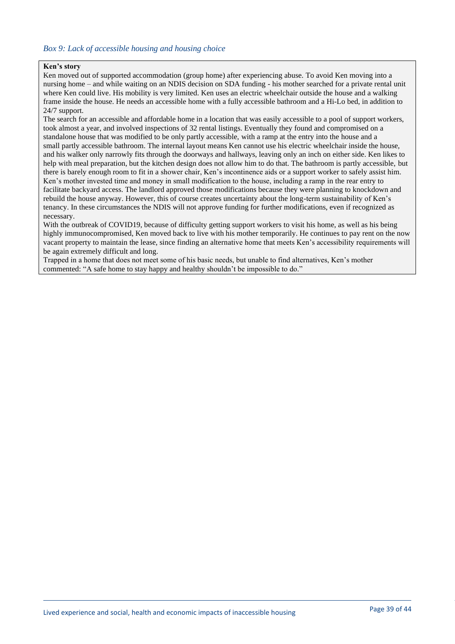#### **Ken's story**

Ken moved out of supported accommodation (group home) after experiencing abuse. To avoid Ken moving into a nursing home – and while waiting on an NDIS decision on SDA funding - his mother searched for a private rental unit where Ken could live. His mobility is very limited. Ken uses an electric wheelchair outside the house and a walking frame inside the house. He needs an accessible home with a fully accessible bathroom and a Hi-Lo bed, in addition to 24/7 support.

The search for an accessible and affordable home in a location that was easily accessible to a pool of support workers, took almost a year, and involved inspections of 32 rental listings. Eventually they found and compromised on a standalone house that was modified to be only partly accessible, with a ramp at the entry into the house and a small partly accessible bathroom. The internal layout means Ken cannot use his electric wheelchair inside the house, and his walker only narrowly fits through the doorways and hallways, leaving only an inch on either side. Ken likes to help with meal preparation, but the kitchen design does not allow him to do that. The bathroom is partly accessible, but there is barely enough room to fit in a shower chair, Ken's incontinence aids or a support worker to safely assist him. Ken's mother invested time and money in small modification to the house, including a ramp in the rear entry to facilitate backyard access. The landlord approved those modifications because they were planning to knockdown and rebuild the house anyway. However, this of course creates uncertainty about the long-term sustainability of Ken's tenancy. In these circumstances the NDIS will not approve funding for further modifications, even if recognized as necessary.

With the outbreak of COVID19, because of difficulty getting support workers to visit his home, as well as his being highly immunocompromised, Ken moved back to live with his mother temporarily. He continues to pay rent on the now vacant property to maintain the lease, since finding an alternative home that meets Ken's accessibility requirements will be again extremely difficult and long.

Trapped in a home that does not meet some of his basic needs, but unable to find alternatives, Ken's mother commented: "A safe home to stay happy and healthy shouldn't be impossible to do."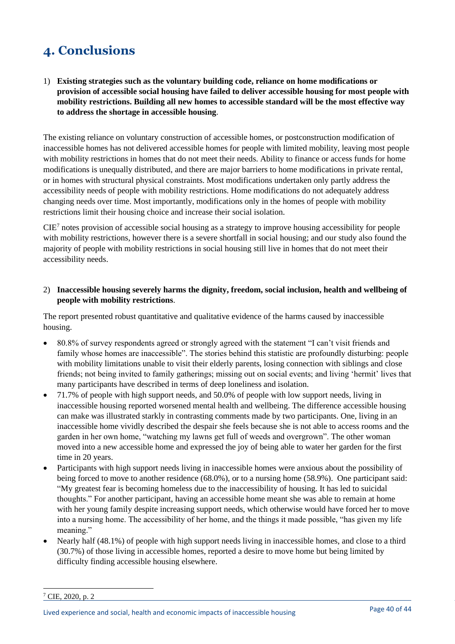# <span id="page-39-0"></span>**4. Conclusions**

1) **Existing strategies such as the voluntary building code, reliance on home modifications or provision of accessible social housing have failed to deliver accessible housing for most people with mobility restrictions. Building all new homes to accessible standard will be the most effective way to address the shortage in accessible housing**.

The existing reliance on voluntary construction of accessible homes, or postconstruction modification of inaccessible homes has not delivered accessible homes for people with limited mobility, leaving most people with mobility restrictions in homes that do not meet their needs. Ability to finance or access funds for home modifications is unequally distributed, and there are major barriers to home modifications in private rental, or in homes with structural physical constraints. Most modifications undertaken only partly address the accessibility needs of people with mobility restrictions. Home modifications do not adequately address changing needs over time. Most importantly, modifications only in the homes of people with mobility restrictions limit their housing choice and increase their social isolation.

 $CIE<sup>7</sup>$  notes provision of accessible social housing as a strategy to improve housing accessibility for people with mobility restrictions, however there is a severe shortfall in social housing; and our study also found the majority of people with mobility restrictions in social housing still live in homes that do not meet their accessibility needs.

### 2) **Inaccessible housing severely harms the dignity, freedom, social inclusion, health and wellbeing of people with mobility restrictions**.

The report presented robust quantitative and qualitative evidence of the harms caused by inaccessible housing.

- 80.8% of survey respondents agreed or strongly agreed with the statement "I can't visit friends and family whose homes are inaccessible". The stories behind this statistic are profoundly disturbing: people with mobility limitations unable to visit their elderly parents, losing connection with siblings and close friends; not being invited to family gatherings; missing out on social events; and living 'hermit' lives that many participants have described in terms of deep loneliness and isolation.
- 71.7% of people with high support needs, and 50.0% of people with low support needs, living in inaccessible housing reported worsened mental health and wellbeing. The difference accessible housing can make was illustrated starkly in contrasting comments made by two participants. One, living in an inaccessible home vividly described the despair she feels because she is not able to access rooms and the garden in her own home, "watching my lawns get full of weeds and overgrown". The other woman moved into a new accessible home and expressed the joy of being able to water her garden for the first time in 20 years.
- Participants with high support needs living in inaccessible homes were anxious about the possibility of being forced to move to another residence (68.0%), or to a nursing home (58.9%). One participant said: "My greatest fear is becoming homeless due to the inaccessibility of housing. It has led to suicidal thoughts." For another participant, having an accessible home meant she was able to remain at home with her young family despite increasing support needs, which otherwise would have forced her to move into a nursing home. The accessibility of her home, and the things it made possible, "has given my life meaning."
- Nearly half (48.1%) of people with high support needs living in inaccessible homes, and close to a third (30.7%) of those living in accessible homes, reported a desire to move home but being limited by difficulty finding accessible housing elsewhere.

 $7$  CIE, 2020, p. 2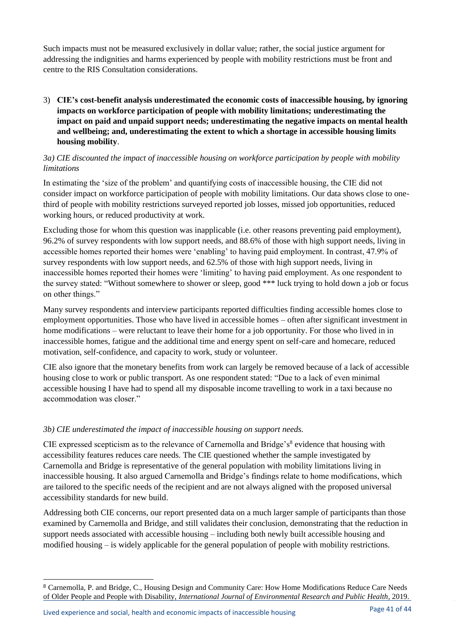Such impacts must not be measured exclusively in dollar value; rather, the social justice argument for addressing the indignities and harms experienced by people with mobility restrictions must be front and centre to the RIS Consultation considerations.

3) **CIE's cost-benefit analysis underestimated the economic costs of inaccessible housing, by ignoring impacts on workforce participation of people with mobility limitations; underestimating the impact on paid and unpaid support needs; underestimating the negative impacts on mental health and wellbeing; and, underestimating the extent to which a shortage in accessible housing limits housing mobility**.

# *3a) CIE discounted the impact of inaccessible housing on workforce participation by people with mobility limitations*

In estimating the 'size of the problem' and quantifying costs of inaccessible housing, the CIE did not consider impact on workforce participation of people with mobility limitations. Our data shows close to onethird of people with mobility restrictions surveyed reported job losses, missed job opportunities, reduced working hours, or reduced productivity at work.

Excluding those for whom this question was inapplicable (i.e. other reasons preventing paid employment), 96.2% of survey respondents with low support needs, and 88.6% of those with high support needs, living in accessible homes reported their homes were 'enabling' to having paid employment. In contrast, 47.9% of survey respondents with low support needs, and 62.5% of those with high support needs, living in inaccessible homes reported their homes were 'limiting' to having paid employment. As one respondent to the survey stated: "Without somewhere to shower or sleep, good \*\*\* luck trying to hold down a job or focus on other things."

Many survey respondents and interview participants reported difficulties finding accessible homes close to employment opportunities. Those who have lived in accessible homes – often after significant investment in home modifications – were reluctant to leave their home for a job opportunity. For those who lived in in inaccessible homes, fatigue and the additional time and energy spent on self-care and homecare, reduced motivation, self-confidence, and capacity to work, study or volunteer.

CIE also ignore that the monetary benefits from work can largely be removed because of a lack of accessible housing close to work or public transport. As one respondent stated: "Due to a lack of even minimal accessible housing I have had to spend all my disposable income travelling to work in a taxi because no accommodation was closer."

# *3b) CIE underestimated the impact of inaccessible housing on support needs.*

CIE expressed scepticism as to the relevance of Carnemolla and Bridge's $8$  evidence that housing with accessibility features reduces care needs. The CIE questioned whether the sample investigated by Carnemolla and Bridge is representative of the general population with mobility limitations living in inaccessible housing. It also argued Carnemolla and Bridge's findings relate to home modifications, which are tailored to the specific needs of the recipient and are not always aligned with the proposed universal accessibility standards for new build.

Addressing both CIE concerns, our report presented data on a much larger sample of participants than those examined by Carnemolla and Bridge, and still validates their conclusion, demonstrating that the reduction in support needs associated with accessible housing – including both newly built accessible housing and modified housing – is widely applicable for the general population of people with mobility restrictions.

<sup>8</sup> Carnemolla, P. and Bridge, C., Housing Design and Community Care: How Home Modifications Reduce Care Needs of Older People and People with Disability, *International Journal of Environmental Research and Public Health*, 2019.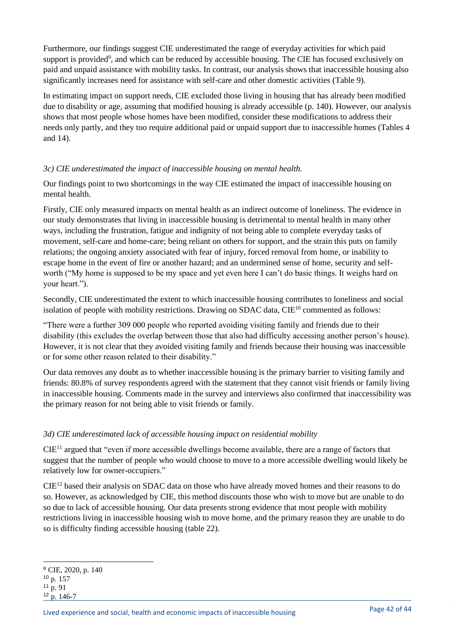Furthermore, our findings suggest CIE underestimated the range of everyday activities for which paid support is provided<sup>9</sup>, and which can be reduced by accessible housing. The CIE has focused exclusively on paid and unpaid assistance with mobility tasks. In contrast, our analysis shows that inaccessible housing also significantly increases need for assistance with self-care and other domestic activities (Table 9).

In estimating impact on support needs, CIE excluded those living in housing that has already been modified due to disability or age, assuming that modified housing is already accessible (p. 140). However, our analysis shows that most people whose homes have been modified, consider these modifications to address their needs only partly, and they too require additional paid or unpaid support due to inaccessible homes (Tables 4 and 14).

# *3c) CIE underestimated the impact of inaccessible housing on mental health.*

Our findings point to two shortcomings in the way CIE estimated the impact of inaccessible housing on mental health.

Firstly, CIE only measured impacts on mental health as an indirect outcome of loneliness. The evidence in our study demonstrates that living in inaccessible housing is detrimental to mental health in many other ways, including the frustration, fatigue and indignity of not being able to complete everyday tasks of movement, self-care and home-care; being reliant on others for support, and the strain this puts on family relations; the ongoing anxiety associated with fear of injury, forced removal from home, or inability to escape home in the event of fire or another hazard; and an undermined sense of home, security and selfworth ("My home is supposed to be my space and yet even here I can't do basic things. It weighs hard on your heart.").

Secondly, CIE underestimated the extent to which inaccessible housing contributes to loneliness and social isolation of people with mobility restrictions. Drawing on SDAC data,  $CIE^{10}$  commented as follows:

"There were a further 309 000 people who reported avoiding visiting family and friends due to their disability (this excludes the overlap between those that also had difficulty accessing another person's house). However, it is not clear that they avoided visiting family and friends because their housing was inaccessible or for some other reason related to their disability."

Our data removes any doubt as to whether inaccessible housing is the primary barrier to visiting family and friends: 80.8% of survey respondents agreed with the statement that they cannot visit friends or family living in inaccessible housing. Comments made in the survey and interviews also confirmed that inaccessibility was the primary reason for not being able to visit friends or family.

# *3d) CIE underestimated lack of accessible housing impact on residential mobility*

CIE<sup>11</sup> argued that "even if more accessible dwellings become available, there are a range of factors that suggest that the number of people who would choose to move to a more accessible dwelling would likely be relatively low for owner-occupiers."

CIE<sup>12</sup> based their analysis on SDAC data on those who have already moved homes and their reasons to do so. However, as acknowledged by CIE, this method discounts those who wish to move but are unable to do so due to lack of accessible housing. Our data presents strong evidence that most people with mobility restrictions living in inaccessible housing wish to move home, and the primary reason they are unable to do so is difficulty finding accessible housing (table 22).

<sup>&</sup>lt;sup>9</sup> CIE, 2020, p. 140 <sup>10</sup> p. 157  $11 \text{ p. } 91$ <sup>12</sup> p. 146-7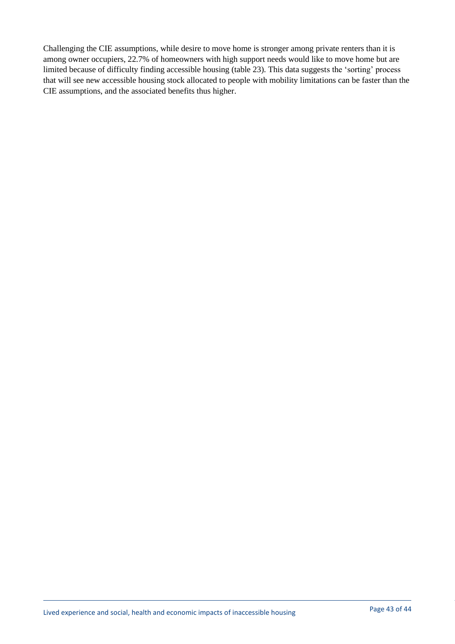Challenging the CIE assumptions, while desire to move home is stronger among private renters than it is among owner occupiers, 22.7% of homeowners with high support needs would like to move home but are limited because of difficulty finding accessible housing (table 23). This data suggests the 'sorting' process that will see new accessible housing stock allocated to people with mobility limitations can be faster than the CIE assumptions, and the associated benefits thus higher.